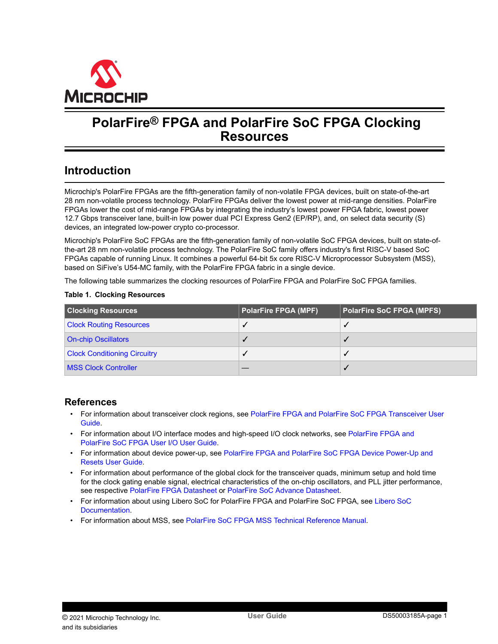<span id="page-0-0"></span>

# **PolarFire® FPGA and PolarFire SoC FPGA Clocking Resources**

# **Introduction**

Microchip's PolarFire FPGAs are the fifth-generation family of non-volatile FPGA devices, built on state-of-the-art 28 nm non-volatile process technology. PolarFire FPGAs deliver the lowest power at mid-range densities. PolarFire FPGAs lower the cost of mid-range FPGAs by integrating the industry's lowest power FPGA fabric, lowest power 12.7 Gbps transceiver lane, built-in low power dual PCI Express Gen2 (EP/RP), and, on select data security (S) devices, an integrated low-power crypto co-processor.

Microchip's PolarFire SoC FPGAs are the fifth-generation family of non-volatile SoC FPGA devices, built on state-ofthe-art 28 nm non-volatile process technology. The PolarFire SoC family offers industry's first RISC-V based SoC FPGAs capable of running Linux. It combines a powerful 64-bit 5x core RISC-V Microprocessor Subsystem (MSS), based on SiFive's U54-MC family, with the PolarFire FPGA fabric in a single device.

The following table summarizes the clocking resources of PolarFire FPGA and PolarFire SoC FPGA families.

#### **Table 1. Clocking Resources**

| <b>Clocking Resources</b>           | <b>PolarFire FPGA (MPF)</b> | <b>PolarFire SoC FPGA (MPFS)</b> |
|-------------------------------------|-----------------------------|----------------------------------|
| <b>Clock Routing Resources</b>      |                             |                                  |
| <b>On-chip Oscillators</b>          |                             |                                  |
| <b>Clock Conditioning Circuitry</b> |                             |                                  |
| <b>MSS Clock Controller</b>         |                             |                                  |

## **References**

- For information about transceiver clock regions, see [PolarFire FPGA and PolarFire SoC FPGA Transceiver User](http://www.microsemi.com/index.php?option=com_docman&task=doc_download&gid=1245816) [Guide](http://www.microsemi.com/index.php?option=com_docman&task=doc_download&gid=1245816).
- For information about I/O interface modes and high-speed I/O clock networks, see [PolarFire FPGA and](http://www.microsemi.com/index.php?option=com_docman&task=doc_download&gid=1245817) [PolarFire SoC FPGA User I/O User Guide.](http://www.microsemi.com/index.php?option=com_docman&task=doc_download&gid=1245817)
- For information about device power-up, see [PolarFire FPGA and PolarFire SoC FPGA Device Power-Up and](http://www.microsemi.com/index.php?option=com_docman&task=doc_download&gid=1245811) [Resets User Guide](http://www.microsemi.com/index.php?option=com_docman&task=doc_download&gid=1245811).
- For information about performance of the global clock for the transceiver quads, minimum setup and hold time for the clock gating enable signal, electrical characteristics of the on-chip oscillators, and PLL jitter performance, see respective [PolarFire FPGA Datasheet](http://www.microsemi.com/index.php?option=com_docman&task=doc_download&gid=136519) or [PolarFire SoC Advance Datasheet](http://www.microsemi.com/index.php?option=com_docman&task=doc_download&gid=1244583).
- For information about using Libero SoC for PolarFire FPGA and PolarFire SoC FPGA, see [Libero SoC](https://www.microsemi.com/product-directory/design-resources/1750-libero-soc#documents) [Documentation.](https://www.microsemi.com/product-directory/design-resources/1750-libero-soc#documents)
- For information about MSS, see [PolarFire SoC FPGA MSS Technical Reference Manual](http://www.microsemi.com/index.php?option=com_docman&task=doc_download&gid=1245725).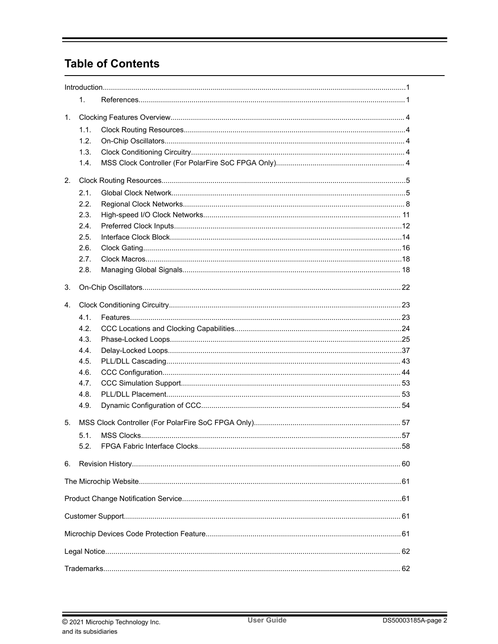# **Table of Contents**

|              | 1.   |  |  |  |  |
|--------------|------|--|--|--|--|
| 1.           |      |  |  |  |  |
|              | 1.1. |  |  |  |  |
|              | 1.2. |  |  |  |  |
|              | 1.3. |  |  |  |  |
|              | 1.4. |  |  |  |  |
|              |      |  |  |  |  |
| 2.           |      |  |  |  |  |
|              | 2.1. |  |  |  |  |
|              | 2.2. |  |  |  |  |
|              | 2.3. |  |  |  |  |
|              | 2.4. |  |  |  |  |
|              | 2.5. |  |  |  |  |
|              | 2.6. |  |  |  |  |
|              | 2.7. |  |  |  |  |
|              | 2.8. |  |  |  |  |
| 3.           |      |  |  |  |  |
| $\mathbf{4}$ |      |  |  |  |  |
|              | 4.1. |  |  |  |  |
|              | 4.2. |  |  |  |  |
|              | 4.3. |  |  |  |  |
|              | 4.4. |  |  |  |  |
|              | 4.5. |  |  |  |  |
|              | 4.6. |  |  |  |  |
|              | 4.7. |  |  |  |  |
|              | 4.8. |  |  |  |  |
|              | 4.9. |  |  |  |  |
|              |      |  |  |  |  |
| 5.           |      |  |  |  |  |
|              | 5.1  |  |  |  |  |
|              |      |  |  |  |  |
| 6.           |      |  |  |  |  |
|              |      |  |  |  |  |
|              |      |  |  |  |  |
|              |      |  |  |  |  |
|              |      |  |  |  |  |
|              |      |  |  |  |  |
|              |      |  |  |  |  |
|              |      |  |  |  |  |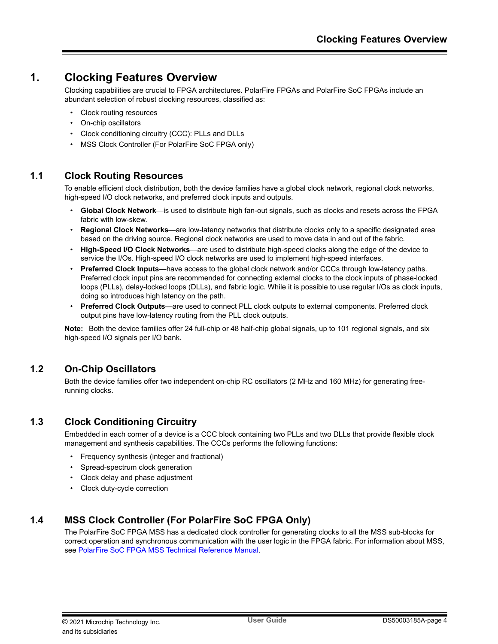# <span id="page-3-0"></span>**1. Clocking Features Overview**

Clocking capabilities are crucial to FPGA architectures. PolarFire FPGAs and PolarFire SoC FPGAs include an abundant selection of robust clocking resources, classified as:

- Clock routing resources
- On-chip oscillators
- Clock conditioning circuitry (CCC): PLLs and DLLs
- MSS Clock Controller (For PolarFire SoC FPGA only)

# **1.1 Clock Routing Resources**

To enable efficient clock distribution, both the device families have a global clock network, regional clock networks, high-speed I/O clock networks, and preferred clock inputs and outputs.

- **Global Clock Network**—is used to distribute high fan-out signals, such as clocks and resets across the FPGA fabric with low-skew.
- **Regional Clock Networks—are low-latency networks that distribute clocks only to a specific designated area** based on the driving source. Regional clock networks are used to move data in and out of the fabric.
- **High-Speed I/O Clock Networks**—are used to distribute high-speed clocks along the edge of the device to service the I/Os. High-speed I/O clock networks are used to implement high-speed interfaces.
- **Preferred Clock Inputs**—have access to the global clock network and/or CCCs through low-latency paths. Preferred clock input pins are recommended for connecting external clocks to the clock inputs of phase-locked loops (PLLs), delay-locked loops (DLLs), and fabric logic. While it is possible to use regular I/Os as clock inputs, doing so introduces high latency on the path.
- **Preferred Clock Outputs**—are used to connect PLL clock outputs to external components. Preferred clock output pins have low-latency routing from the PLL clock outputs.

**Note:**  Both the device families offer 24 full-chip or 48 half-chip global signals, up to 101 regional signals, and six high-speed I/O signals per I/O bank.

# **1.2 On-Chip Oscillators**

Both the device families offer two independent on-chip RC oscillators (2 MHz and 160 MHz) for generating freerunning clocks.

# **1.3 Clock Conditioning Circuitry**

Embedded in each corner of a device is a CCC block containing two PLLs and two DLLs that provide flexible clock management and synthesis capabilities. The CCCs performs the following functions:

- Frequency synthesis (integer and fractional)
- Spread-spectrum clock generation
- Clock delay and phase adjustment
- Clock duty-cycle correction

# **1.4 MSS Clock Controller (For PolarFire SoC FPGA Only)**

The PolarFire SoC FPGA MSS has a dedicated clock controller for generating clocks to all the MSS sub-blocks for correct operation and synchronous communication with the user logic in the FPGA fabric. For information about MSS, see [PolarFire SoC FPGA MSS Technical Reference Manual.](http://www.microsemi.com/index.php?option=com_docman&task=doc_download&gid=1245725)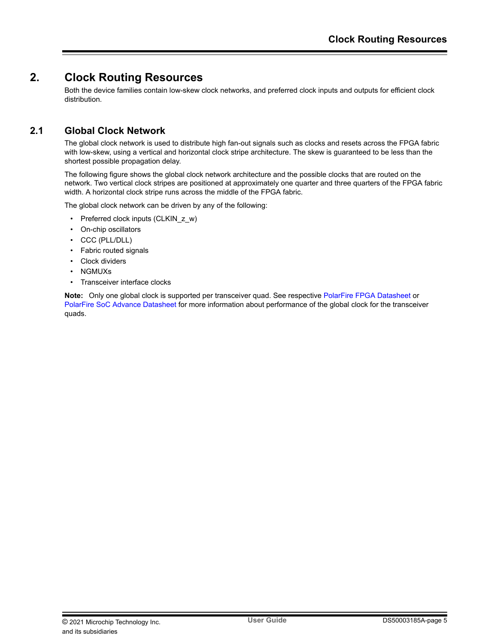# <span id="page-4-0"></span>**2. Clock Routing Resources**

Both the device families contain low-skew clock networks, and preferred clock inputs and outputs for efficient clock distribution.

# **2.1 Global Clock Network**

The global clock network is used to distribute high fan-out signals such as clocks and resets across the FPGA fabric with low-skew, using a vertical and horizontal clock stripe architecture. The skew is guaranteed to be less than the shortest possible propagation delay.

The following figure shows the global clock network architecture and the possible clocks that are routed on the network. Two vertical clock stripes are positioned at approximately one quarter and three quarters of the FPGA fabric width. A horizontal clock stripe runs across the middle of the FPGA fabric.

The global clock network can be driven by any of the following:

- Preferred clock inputs (CLKIN\_z\_w)
- On-chip oscillators
- CCC (PLL/DLL)
- Fabric routed signals
- Clock dividers
- NGMUXs
- Transceiver interface clocks

**Note:**  Only one global clock is supported per transceiver quad. See respective [PolarFire FPGA Datasheet](http://www.microsemi.com/index.php?option=com_docman&task=doc_download&gid=136519) or [PolarFire SoC Advance Datasheet](http://www.microsemi.com/index.php?option=com_docman&task=doc_download&gid=1244583) for more information about performance of the global clock for the transceiver quads.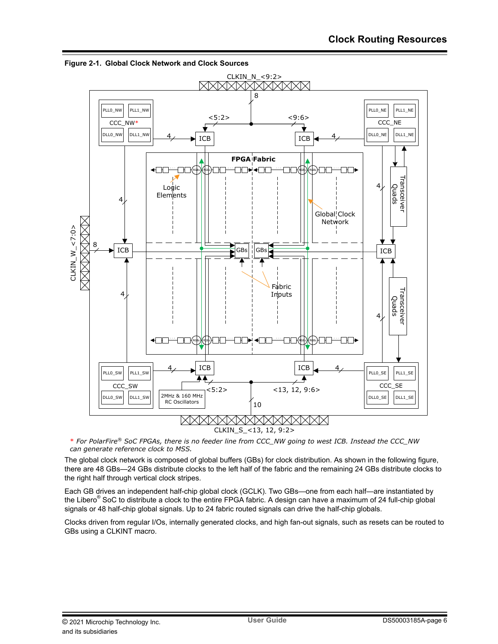

<span id="page-5-0"></span>**Figure 2-1. Global Clock Network and Clock Sources**

\* *For PolarFire® SoC FPGAs, there is no feeder line from CCC\_NW going to west ICB. Instead the CCC\_NW can generate reference clock to MSS.*

The global clock network is composed of global buffers (GBs) for clock distribution. As shown in the following figure, there are 48 GBs—24 GBs distribute clocks to the left half of the fabric and the remaining 24 GBs distribute clocks to the right half through vertical clock stripes.

Each GB drives an independent half-chip global clock (GCLK). Two GBs—one from each half—are instantiated by the Libero® SoC to distribute a clock to the entire FPGA fabric. A design can have a maximum of 24 full-chip global signals or 48 half-chip global signals. Up to 24 fabric routed signals can drive the half-chip globals.

Clocks driven from regular I/Os, internally generated clocks, and high fan-out signals, such as resets can be routed to GBs using a CLKINT macro.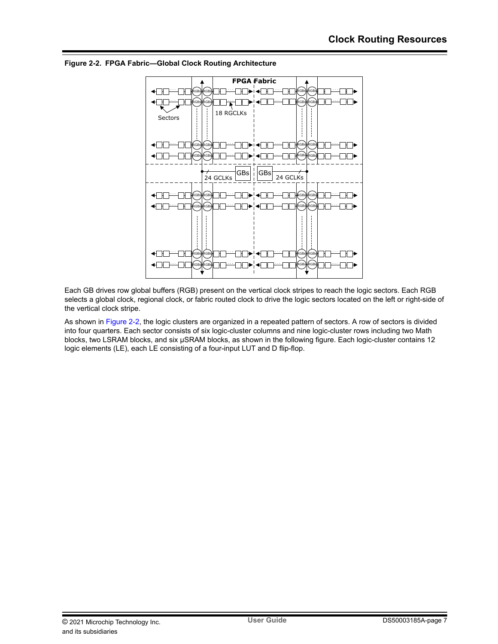

**Figure 2-2. FPGA Fabric—Global Clock Routing Architecture**

Each GB drives row global buffers (RGB) present on the vertical clock stripes to reach the logic sectors. Each RGB selects a global clock, regional clock, or fabric routed clock to drive the logic sectors located on the left or right-side of the vertical clock stripe.

As shown in Figure 2-2, the logic clusters are organized in a repeated pattern of sectors. A row of sectors is divided into four quarters. Each sector consists of six logic-cluster columns and nine logic-cluster rows including two Math blocks, two LSRAM blocks, and six µSRAM blocks, as shown in the following figure. Each logic-cluster contains 12 logic elements (LE), each LE consisting of a four-input LUT and D flip-flop.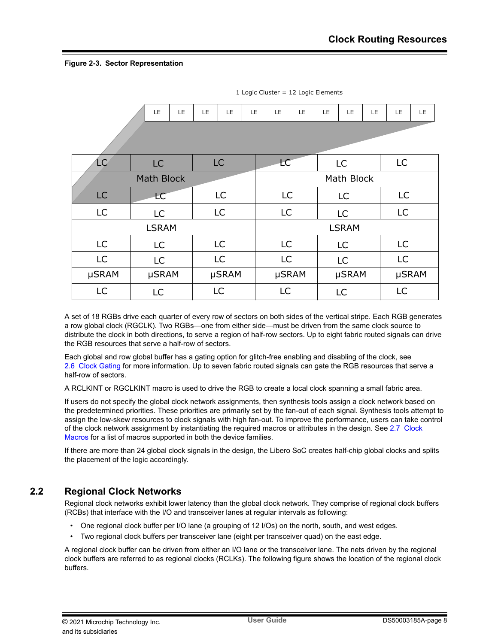## <span id="page-7-0"></span>**Figure 2-3. Sector Representation**

|                   | LE           | LE | LE         | LE.       | LE | LE        | <b>LE</b> | <b>LE</b> | LE           | LE        | LE.          | LE. |           |  |           |       |
|-------------------|--------------|----|------------|-----------|----|-----------|-----------|-----------|--------------|-----------|--------------|-----|-----------|--|-----------|-------|
|                   |              |    |            |           |    |           |           |           |              |           |              |     |           |  |           |       |
| ĹÇ                | <b>LC</b>    |    |            | LC        |    | <b>LC</b> |           |           | <b>LC</b>    |           | <b>LC</b>    |     |           |  |           |       |
| <b>Math Block</b> |              |    | Math Block |           |    |           |           |           |              |           |              |     |           |  |           |       |
| <b>LC</b>         | <b>LC</b>    |    | <b>LC</b>  |           |    | LC        |           | LC        |              |           | LC           |     |           |  |           |       |
| <b>LC</b>         | LC           |    |            | <b>LC</b> |    | LC        |           |           | <b>LC</b>    |           | <b>LC</b>    |     |           |  |           |       |
|                   | <b>LSRAM</b> |    |            |           |    |           |           |           | <b>LSRAM</b> |           |              |     |           |  |           |       |
| <b>LC</b>         | LC           |    |            | <b>LC</b> |    | <b>LC</b> |           |           | LC           |           | <b>LC</b>    |     |           |  |           |       |
| <b>LC</b>         | LC           |    | LC         |           |    |           |           |           |              | <b>LC</b> |              |     | <b>LC</b> |  | <b>LC</b> |       |
| µSRAM             | µSRAM        |    | µSRAM      |           |    |           |           |           |              |           | <b>µSRAM</b> |     | µSRAM     |  |           | µSRAM |
| LC                | LC           |    |            | LC        |    | LC        |           |           | LC           |           | LC           |     |           |  |           |       |

1 Logic Cluster = 12 Logic Elements

A set of 18 RGBs drive each quarter of every row of sectors on both sides of the vertical stripe. Each RGB generates a row global clock (RGCLK). Two RGBs—one from either side—must be driven from the same clock source to distribute the clock in both directions, to serve a region of half-row sectors. Up to eight fabric routed signals can drive the RGB resources that serve a half-row of sectors.

Each global and row global buffer has a gating option for glitch-free enabling and disabling of the clock, see [2.6 Clock Gating](#page-15-0) for more information. Up to seven fabric routed signals can gate the RGB resources that serve a half-row of sectors.

A RCLKINT or RGCLKINT macro is used to drive the RGB to create a local clock spanning a small fabric area.

If users do not specify the global clock network assignments, then synthesis tools assign a clock network based on the predetermined priorities. These priorities are primarily set by the fan-out of each signal. Synthesis tools attempt to assign the low-skew resources to clock signals with high fan-out. To improve the performance, users can take control of the clock network assignment by instantiating the required macros or attributes in the design. See [2.7 Clock](#page-17-0) [Macros](#page-17-0) for a list of macros supported in both the device families.

If there are more than 24 global clock signals in the design, the Libero SoC creates half-chip global clocks and splits the placement of the logic accordingly.

# **2.2 Regional Clock Networks**

Regional clock networks exhibit lower latency than the global clock network. They comprise of regional clock buffers (RCBs) that interface with the I/O and transceiver lanes at regular intervals as following:

- One regional clock buffer per I/O lane (a grouping of 12 I/Os) on the north, south, and west edges.
- Two regional clock buffers per transceiver lane (eight per transceiver quad) on the east edge.

A regional clock buffer can be driven from either an I/O lane or the transceiver lane. The nets driven by the regional clock buffers are referred to as regional clocks (RCLKs). The following figure shows the location of the regional clock buffers.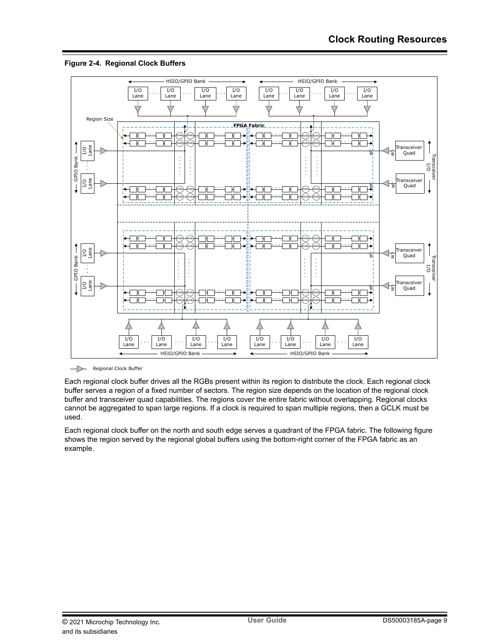



Regional Clock Buffer

Each regional clock buffer drives all the RGBs present within its region to distribute the clock. Each regional clock buffer serves a region of a fixed number of sectors. The region size depends on the location of the regional clock buffer and transceiver quad capabilities. The regions cover the entire fabric without overlapping. Regional clocks cannot be aggregated to span large regions. If a clock is required to span multiple regions, then a GCLK must be used.

Each regional clock buffer on the north and south edge serves a quadrant of the FPGA fabric. The following figure shows the region served by the regional global buffers using the bottom-right corner of the FPGA fabric as an example.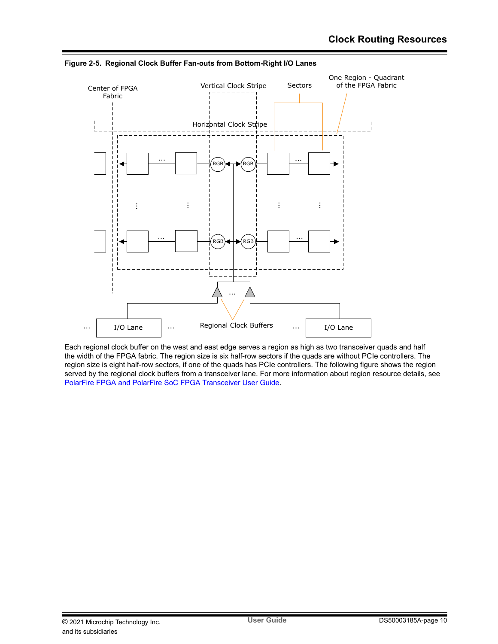

**Figure 2-5. Regional Clock Buffer Fan-outs from Bottom-Right I/O Lanes**

Each regional clock buffer on the west and east edge serves a region as high as two transceiver quads and half the width of the FPGA fabric. The region size is six half-row sectors if the quads are without PCIe controllers. The region size is eight half-row sectors, if one of the quads has PCIe controllers. The following figure shows the region served by the regional clock buffers from a transceiver lane. For more information about region resource details, see [PolarFire FPGA and PolarFire SoC FPGA Transceiver User Guide.](http://www.microsemi.com/index.php?option=com_docman&task=doc_download&gid=1245816)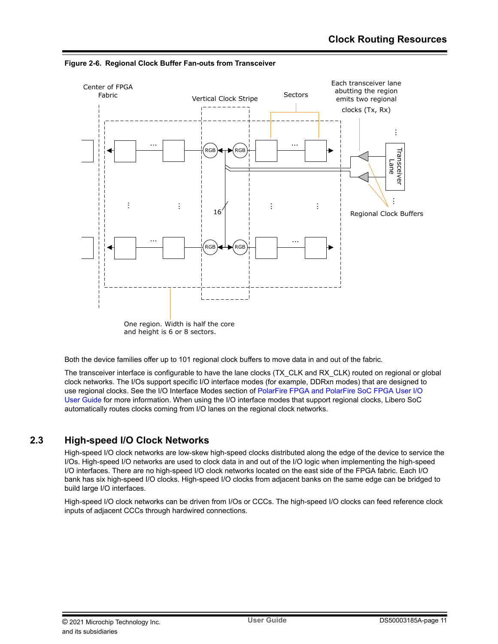

<span id="page-10-0"></span>**Figure 2-6. Regional Clock Buffer Fan-outs from Transceiver**

Both the device families offer up to 101 regional clock buffers to move data in and out of the fabric.

The transceiver interface is configurable to have the lane clocks (TX\_CLK and RX\_CLK) routed on regional or global clock networks. The I/Os support specific I/O interface modes (for example, DDRxn modes) that are designed to use regional clocks. See the I/O Interface Modes section of [PolarFire FPGA and PolarFire SoC FPGA User I/O](http://www.microsemi.com/index.php?option=com_docman&task=doc_download&gid=1245817) [User Guide](http://www.microsemi.com/index.php?option=com_docman&task=doc_download&gid=1245817) for more information. When using the I/O interface modes that support regional clocks, Libero SoC automatically routes clocks coming from I/O lanes on the regional clock networks.

# **2.3 High-speed I/O Clock Networks**

High-speed I/O clock networks are low-skew high-speed clocks distributed along the edge of the device to service the I/Os. High-speed I/O networks are used to clock data in and out of the I/O logic when implementing the high-speed I/O interfaces. There are no high-speed I/O clock networks located on the east side of the FPGA fabric. Each I/O bank has six high-speed I/O clocks. High-speed I/O clocks from adjacent banks on the same edge can be bridged to build large I/O interfaces.

High-speed I/O clock networks can be driven from I/Os or CCCs. The high-speed I/O clocks can feed reference clock inputs of adjacent CCCs through hardwired connections.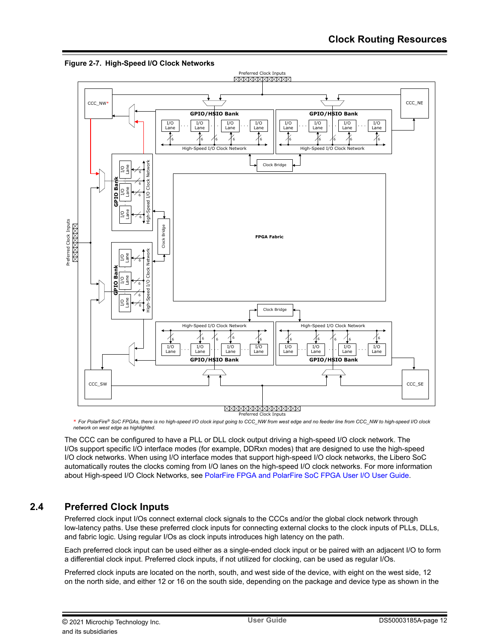

<span id="page-11-0"></span>**Figure 2-7. High-Speed I/O Clock Networks**

\* *For PolarFire® SoC FPGAs, there is no high-speed I/O clock input going to CCC\_NW from west edge and no feeder line from CCC\_NW to high-speed I/O clock network on west edge as highlighted.*

The CCC can be configured to have a PLL or DLL clock output driving a high-speed I/O clock network. The I/Os support specific I/O interface modes (for example, DDRxn modes) that are designed to use the high-speed I/O clock networks. When using I/O interface modes that support high-speed I/O clock networks, the Libero SoC automatically routes the clocks coming from I/O lanes on the high-speed I/O clock networks. For more information about High-speed I/O Clock Networks, see [PolarFire FPGA and PolarFire SoC FPGA User I/O User Guide](http://www.microsemi.com/index.php?option=com_docman&task=doc_download&gid=1245817).

# **2.4 Preferred Clock Inputs**

Preferred clock input I/Os connect external clock signals to the CCCs and/or the global clock network through low-latency paths. Use these preferred clock inputs for connecting external clocks to the clock inputs of PLLs, DLLs, and fabric logic. Using regular I/Os as clock inputs introduces high latency on the path.

Each preferred clock input can be used either as a single-ended clock input or be paired with an adjacent I/O to form a differential clock input. Preferred clock inputs, if not utilized for clocking, can be used as regular I/Os.

Preferred clock inputs are located on the north, south, and west side of the device, with eight on the west side, 12 on the north side, and either 12 or 16 on the south side, depending on the package and device type as shown in the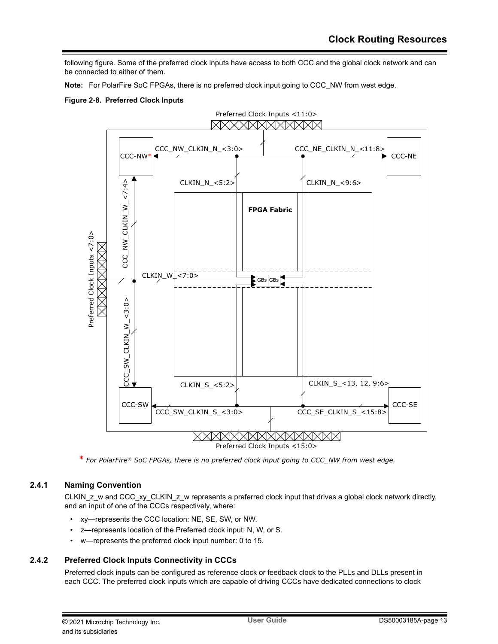<span id="page-12-0"></span>following figure. Some of the preferred clock inputs have access to both CCC and the global clock network and can be connected to either of them.

**Note:**  For PolarFire SoC FPGAs, there is no preferred clock input going to CCC\_NW from west edge.

### **Figure 2-8. Preferred Clock Inputs**



\* *For PolarFire® SoC FPGAs, there is no preferred clock input going to CCC\_NW from west edge.*

## **2.4.1 Naming Convention**

CLKIN\_z\_w and CCC\_xy\_CLKIN\_z\_w represents a preferred clock input that drives a global clock network directly, and an input of one of the CCCs respectively, where:

- xy—represents the CCC location: NE, SE, SW, or NW.
- z—represents location of the Preferred clock input: N, W, or S.
- w—represents the preferred clock input number: 0 to 15.

## **2.4.2 Preferred Clock Inputs Connectivity in CCCs**

Preferred clock inputs can be configured as reference clock or feedback clock to the PLLs and DLLs present in each CCC. The preferred clock inputs which are capable of driving CCCs have dedicated connections to clock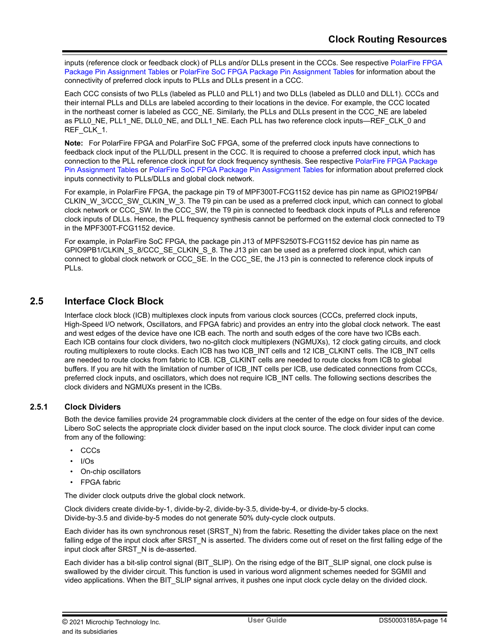<span id="page-13-0"></span>inputs (reference clock or feedback clock) of PLLs and/or DLLs present in the CCCs. See respective [PolarFire FPGA](https://www.microsemi.com/product-directory/fpgas/3854-polarfire-fpgas#documentation) [Package Pin Assignment Tables](https://www.microsemi.com/product-directory/fpgas/3854-polarfire-fpgas#documentation) or [PolarFire SoC FPGA Package Pin Assignment Tables](https://www.microsemi.com/product-directory/soc-fpgas/5498-polarfire-soc-fpga#documentation) for information about the connectivity of preferred clock inputs to PLLs and DLLs present in a CCC.

Each CCC consists of two PLLs (labeled as PLL0 and PLL1) and two DLLs (labeled as DLL0 and DLL1). CCCs and their internal PLLs and DLLs are labeled according to their locations in the device. For example, the CCC located in the northeast corner is labeled as CCC\_NE. Similarly, the PLLs and DLLs present in the CCC\_NE are labeled as PLL0\_NE, PLL1\_NE, DLL0\_NE, and DLL1\_NE. Each PLL has two reference clock inputs—REF\_CLK\_0 and REF\_CLK\_1.

**Note:**  For PolarFire FPGA and PolarFire SoC FPGA, some of the preferred clock inputs have connections to feedback clock input of the PLL/DLL present in the CCC. It is required to choose a preferred clock input, which has connection to the PLL reference clock input for clock frequency synthesis. See respective [PolarFire FPGA Package](https://www.microsemi.com/product-directory/fpgas/3854-polarfire-fpgas#documentation) [Pin Assignment Tables](https://www.microsemi.com/product-directory/fpgas/3854-polarfire-fpgas#documentation) or [PolarFire SoC FPGA Package Pin Assignment Tables](https://www.microsemi.com/product-directory/soc-fpgas/5498-polarfire-soc-fpga#documentation) for information about preferred clock inputs connectivity to PLLs/DLLs and global clock network.

For example, in PolarFire FPGA, the package pin T9 of MPF300T-FCG1152 device has pin name as GPIO219PB4/ CLKIN\_W\_3/CCC\_SW\_CLKIN\_W\_3. The T9 pin can be used as a preferred clock input, which can connect to global clock network or CCC\_SW. In the CCC\_SW, the T9 pin is connected to feedback clock inputs of PLLs and reference clock inputs of DLLs. Hence, the PLL frequency synthesis cannot be performed on the external clock connected to T9 in the MPF300T-FCG1152 device.

For example, in PolarFire SoC FPGA, the package pin J13 of MPFS250TS-FCG1152 device has pin name as GPIO9PB1/CLKIN\_S\_8/CCC\_SE\_CLKIN\_S\_8. The J13 pin can be used as a preferred clock input, which can connect to global clock network or CCC\_SE. In the CCC\_SE, the J13 pin is connected to reference clock inputs of PLLs.

# **2.5 Interface Clock Block**

Interface clock block (ICB) multiplexes clock inputs from various clock sources (CCCs, preferred clock inputs, High-Speed I/O network, Oscillators, and FPGA fabric) and provides an entry into the global clock network. The east and west edges of the device have one ICB each. The north and south edges of the core have two ICBs each. Each ICB contains four clock dividers, two no-glitch clock multiplexers (NGMUXs), 12 clock gating circuits, and clock routing multiplexers to route clocks. Each ICB has two ICB\_INT cells and 12 ICB\_CLKINT cells. The ICB\_INT cells are needed to route clocks from fabric to ICB. ICB\_CLKINT cells are needed to route clocks from ICB to global buffers. If you are hit with the limitation of number of ICB\_INT cells per ICB, use dedicated connections from CCCs, preferred clock inputs, and oscillators, which does not require ICB\_INT cells. The following sections describes the clock dividers and NGMUXs present in the ICBs.

## **2.5.1 Clock Dividers**

Both the device families provide 24 programmable clock dividers at the center of the edge on four sides of the device. Libero SoC selects the appropriate clock divider based on the input clock source. The clock divider input can come from any of the following:

- CCCs
- I/Os
- On-chip oscillators
- **FPGA** fabric

The divider clock outputs drive the global clock network.

Clock dividers create divide-by-1, divide-by-2, divide-by-3.5, divide-by-4, or divide-by-5 clocks. Divide-by-3.5 and divide-by-5 modes do not generate 50% duty-cycle clock outputs.

Each divider has its own synchronous reset (SRST\_N) from the fabric. Resetting the divider takes place on the next falling edge of the input clock after SRST. N is asserted. The dividers come out of reset on the first falling edge of the input clock after SRST\_N is de-asserted.

Each divider has a bit-slip control signal (BIT\_SLIP). On the rising edge of the BIT\_SLIP signal, one clock pulse is swallowed by the divider circuit. This function is used in various word alignment schemes needed for SGMII and video applications. When the BIT\_SLIP signal arrives, it pushes one input clock cycle delay on the divided clock.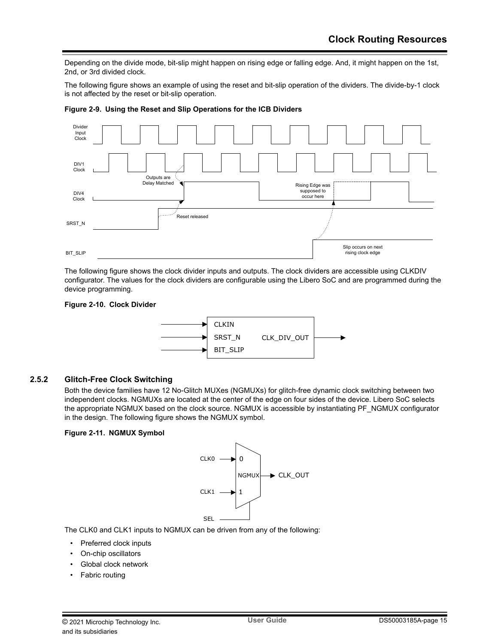Depending on the divide mode, bit-slip might happen on rising edge or falling edge. And, it might happen on the 1st, 2nd, or 3rd divided clock.

The following figure shows an example of using the reset and bit-slip operation of the dividers. The divide-by-1 clock is not affected by the reset or bit-slip operation.



**Figure 2-9. Using the Reset and Slip Operations for the ICB Dividers**

The following figure shows the clock divider inputs and outputs. The clock dividers are accessible using CLKDIV configurator. The values for the clock dividers are configurable using the Libero SoC and are programmed during the device programming.

#### **Figure 2-10. Clock Divider**



### **2.5.2 Glitch-Free Clock Switching**

Both the device families have 12 No-Glitch MUXes (NGMUXs) for glitch-free dynamic clock switching between two independent clocks. NGMUXs are located at the center of the edge on four sides of the device. Libero SoC selects the appropriate NGMUX based on the clock source. NGMUX is accessible by instantiating PF\_NGMUX configurator in the design. The following figure shows the NGMUX symbol.

### **Figure 2-11. NGMUX Symbol**



The CLK0 and CLK1 inputs to NGMUX can be driven from any of the following:

- Preferred clock inputs
- On-chip oscillators
- Global clock network
- Fabric routing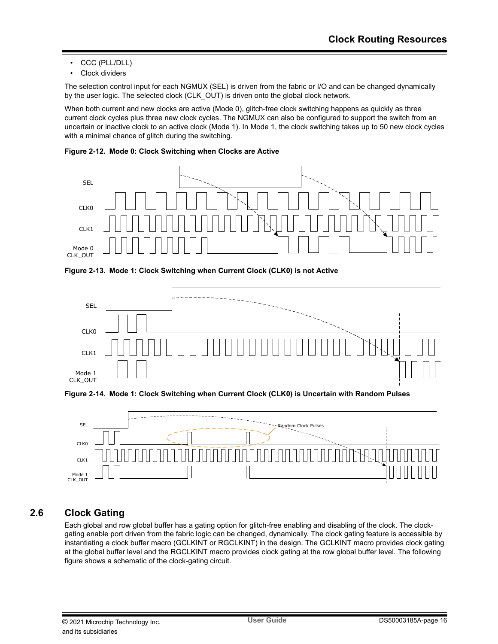- <span id="page-15-0"></span>• CCC (PLL/DLL)
- Clock dividers

The selection control input for each NGMUX (SEL) is driven from the fabric or I/O and can be changed dynamically by the user logic. The selected clock (CLK\_OUT) is driven onto the global clock network.

When both current and new clocks are active (Mode 0), glitch-free clock switching happens as quickly as three current clock cycles plus three new clock cycles. The NGMUX can also be configured to support the switch from an uncertain or inactive clock to an active clock (Mode 1). In Mode 1, the clock switching takes up to 50 new clock cycles with a minimal chance of glitch during the switching.

**Figure 2-12. Mode 0: Clock Switching when Clocks are Active**



**Figure 2-13. Mode 1: Clock Switching when Current Clock (CLK0) is not Active**







# **2.6 Clock Gating**

Each global and row global buffer has a gating option for glitch-free enabling and disabling of the clock. The clockgating enable port driven from the fabric logic can be changed, dynamically. The clock gating feature is accessible by instantiating a clock buffer macro (GCLKINT or RGCLKINT) in the design. The GCLKINT macro provides clock gating at the global buffer level and the RGCLKINT macro provides clock gating at the row global buffer level. The following figure shows a schematic of the clock-gating circuit.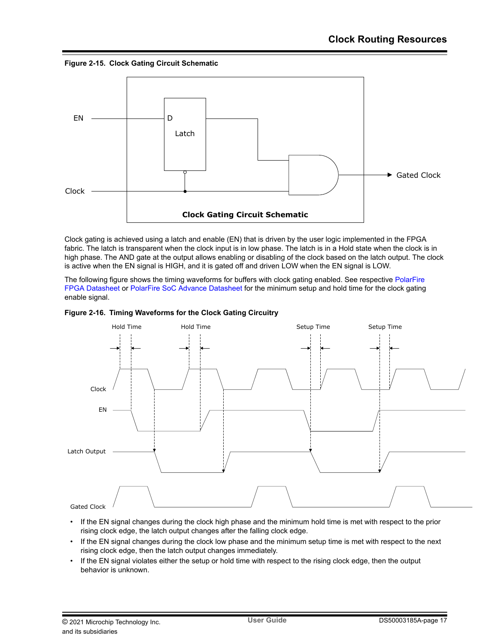**Figure 2-15. Clock Gating Circuit Schematic**



Clock gating is achieved using a latch and enable (EN) that is driven by the user logic implemented in the FPGA fabric. The latch is transparent when the clock input is in low phase. The latch is in a Hold state when the clock is in high phase. The AND gate at the output allows enabling or disabling of the clock based on the latch output. The clock is active when the EN signal is HIGH, and it is gated off and driven LOW when the EN signal is LOW.

The following figure shows the timing waveforms for buffers with clock gating enabled. See respective [PolarFire](http://www.microsemi.com/index.php?option=com_docman&task=doc_download&gid=136519) [FPGA Datasheet](http://www.microsemi.com/index.php?option=com_docman&task=doc_download&gid=136519) or [PolarFire SoC Advance Datasheet](http://www.microsemi.com/index.php?option=com_docman&task=doc_download&gid=1244583) for the minimum setup and hold time for the clock gating enable signal.





- If the EN signal changes during the clock high phase and the minimum hold time is met with respect to the prior rising clock edge, the latch output changes after the falling clock edge.
- If the EN signal changes during the clock low phase and the minimum setup time is met with respect to the next rising clock edge, then the latch output changes immediately.
- If the EN signal violates either the setup or hold time with respect to the rising clock edge, then the output behavior is unknown.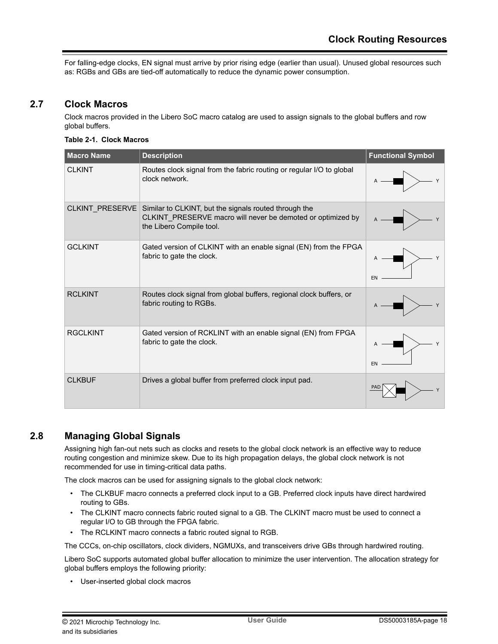<span id="page-17-0"></span>For falling-edge clocks, EN signal must arrive by prior rising edge (earlier than usual). Unused global resources such as: RGBs and GBs are tied-off automatically to reduce the dynamic power consumption.

# **2.7 Clock Macros**

Clock macros provided in the Libero SoC macro catalog are used to assign signals to the global buffers and row global buffers.

#### **Table 2-1. Clock Macros**

| <b>Macro Name</b> | <b>Description</b>                                                                                                                               | <b>Functional Symbol</b> |
|-------------------|--------------------------------------------------------------------------------------------------------------------------------------------------|--------------------------|
| <b>CLKINT</b>     | Routes clock signal from the fabric routing or regular I/O to global<br>clock network.                                                           |                          |
| CLKINT_PRESERVE   | Similar to CLKINT, but the signals routed through the<br>CLKINT_PRESERVE macro will never be demoted or optimized by<br>the Libero Compile tool. |                          |
| <b>GCLKINT</b>    | Gated version of CLKINT with an enable signal (EN) from the FPGA<br>fabric to gate the clock.                                                    | Y<br>EN                  |
| <b>RCLKINT</b>    | Routes clock signal from global buffers, regional clock buffers, or<br>fabric routing to RGBs.                                                   |                          |
| <b>RGCLKINT</b>   | Gated version of RCKLINT with an enable signal (EN) from FPGA<br>fabric to gate the clock.                                                       | EN                       |
| <b>CLKBUF</b>     | Drives a global buffer from preferred clock input pad.                                                                                           |                          |

# **2.8 Managing Global Signals**

Assigning high fan-out nets such as clocks and resets to the global clock network is an effective way to reduce routing congestion and minimize skew. Due to its high propagation delays, the global clock network is not recommended for use in timing-critical data paths.

The clock macros can be used for assigning signals to the global clock network:

- The CLKBUF macro connects a preferred clock input to a GB. Preferred clock inputs have direct hardwired routing to GBs.
- The CLKINT macro connects fabric routed signal to a GB. The CLKINT macro must be used to connect a regular I/O to GB through the FPGA fabric.
- The RCLKINT macro connects a fabric routed signal to RGB.

The CCCs, on-chip oscillators, clock dividers, NGMUXs, and transceivers drive GBs through hardwired routing.

Libero SoC supports automated global buffer allocation to minimize the user intervention. The allocation strategy for global buffers employs the following priority:

• User-inserted global clock macros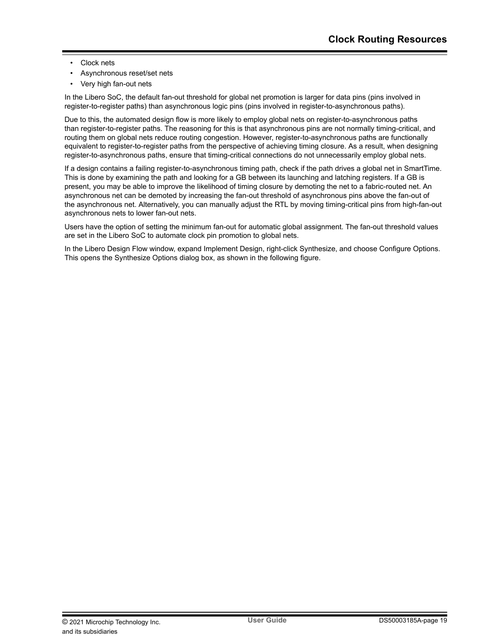- Clock nets
- Asynchronous reset/set nets
- Very high fan-out nets

In the Libero SoC, the default fan-out threshold for global net promotion is larger for data pins (pins involved in register-to-register paths) than asynchronous logic pins (pins involved in register-to-asynchronous paths).

Due to this, the automated design flow is more likely to employ global nets on register-to-asynchronous paths than register-to-register paths. The reasoning for this is that asynchronous pins are not normally timing-critical, and routing them on global nets reduce routing congestion. However, register-to-asynchronous paths are functionally equivalent to register-to-register paths from the perspective of achieving timing closure. As a result, when designing register-to-asynchronous paths, ensure that timing-critical connections do not unnecessarily employ global nets.

If a design contains a failing register-to-asynchronous timing path, check if the path drives a global net in SmartTime. This is done by examining the path and looking for a GB between its launching and latching registers. If a GB is present, you may be able to improve the likelihood of timing closure by demoting the net to a fabric-routed net. An asynchronous net can be demoted by increasing the fan-out threshold of asynchronous pins above the fan-out of the asynchronous net. Alternatively, you can manually adjust the RTL by moving timing-critical pins from high-fan-out asynchronous nets to lower fan-out nets.

Users have the option of setting the minimum fan-out for automatic global assignment. The fan-out threshold values are set in the Libero SoC to automate clock pin promotion to global nets.

In the Libero Design Flow window, expand Implement Design, right-click Synthesize, and choose Configure Options. This opens the Synthesize Options dialog box, as shown in the following figure.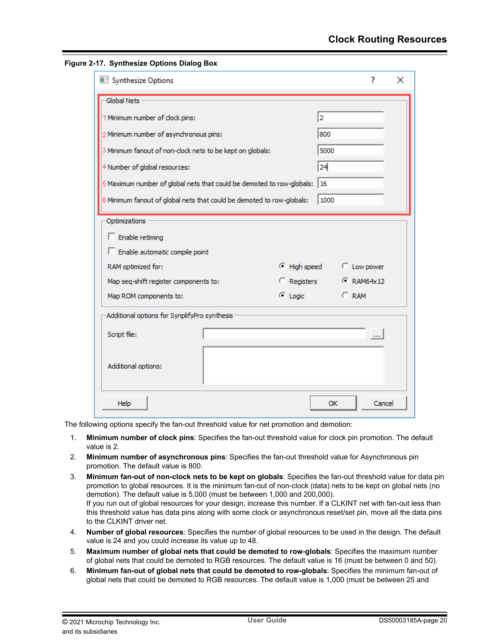| Synthesize Options                                                           |                   |                | 7           | $\times$ |
|------------------------------------------------------------------------------|-------------------|----------------|-------------|----------|
| Global Nets                                                                  |                   |                |             |          |
| 1 Minimum number of clock pins:                                              |                   | $\overline{2}$ |             |          |
| 2 Minimum number of asynchronous pins:                                       |                   | 800            |             |          |
| 3 Minimum fanout of non-clock nets to be kept on globals:                    |                   | 5000           |             |          |
| 4 Number of global resources:                                                |                   | 24             |             |          |
| 5 Maximum number of global nets that could be demoted to row-globals: $ 16 $ |                   |                |             |          |
| 6 Minimum fanout of global nets that could be demoted to row-globals:        |                   | 1000           |             |          |
| Optimizations                                                                |                   |                |             |          |
| Enable retiming                                                              |                   |                |             |          |
| Enable automatic compile point                                               |                   |                |             |          |
| RAM optimized for:                                                           | ⊙ High speed      |                | C Low power |          |
| Map seq-shift register components to:                                        | C Registers       |                | C RAM64x12  |          |
| Map ROM components to:                                                       | $\subseteq$ Logic |                | $C$ RAM     |          |
| Additional options for SynplifyPro synthesis                                 |                   |                |             |          |
| Script file:                                                                 |                   |                |             |          |
| Additional options:                                                          |                   |                |             |          |
| Help                                                                         |                   | <b>OK</b>      | Cancel      |          |

**Figure 2-17. Synthesize Options Dialog Box**

The following options specify the fan-out threshold value for net promotion and demotion:

- 1. **Minimum number of clock pins**: Specifies the fan-out threshold value for clock pin promotion. The default value is 2.
- 2. **Minimum number of asynchronous pins**: Specifies the fan-out threshold value for Asynchronous pin promotion. The default value is 800.
- 3. **Minimum fan-out of non-clock nets to be kept on globals**: Specifies the fan-out threshold value for data pin promotion to global resources. It is the minimum fan-out of non-clock (data) nets to be kept on global nets (no demotion). The default value is 5,000 (must be between 1,000 and 200,000). If you run out of global resources for your design, increase this number. If a CLKINT net with fan-out less than this threshold value has data pins along with some clock or asynchronous reset/set pin, move all the data pins to the CLKINT driver net.
- 4. **Number of global resources**: Specifies the number of global resources to be used in the design. The default value is 24 and you could increase its value up to 48.
- 5. **Maximum number of global nets that could be demoted to row-globals**: Specifies the maximum number of global nets that could be demoted to RGB resources. The default value is 16 (must be between 0 and 50).
- 6. **Minimum fan-out of global nets that could be demoted to row-globals**: Specifies the minimum fan-out of global nets that could be demoted to RGB resources. The default value is 1,000 (must be between 25 and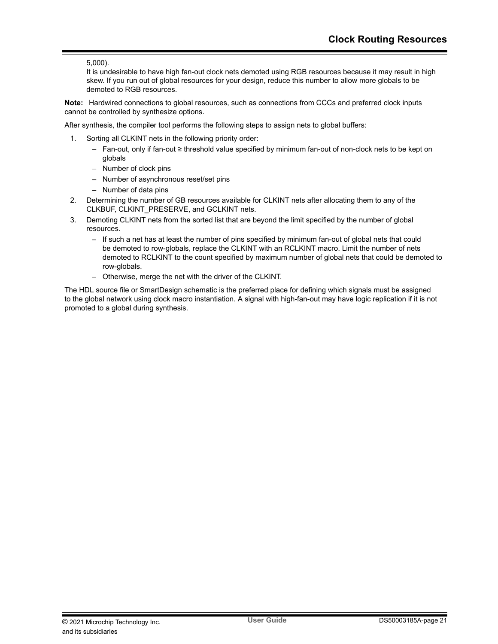## 5,000).

It is undesirable to have high fan-out clock nets demoted using RGB resources because it may result in high skew. If you run out of global resources for your design, reduce this number to allow more globals to be demoted to RGB resources.

**Note:**  Hardwired connections to global resources, such as connections from CCCs and preferred clock inputs cannot be controlled by synthesize options.

After synthesis, the compiler tool performs the following steps to assign nets to global buffers:

- 1. Sorting all CLKINT nets in the following priority order:
	- Fan-out, only if fan-out ≥ threshold value specified by minimum fan-out of non-clock nets to be kept on globals
	- Number of clock pins
	- Number of asynchronous reset/set pins
	- Number of data pins
- 2. Determining the number of GB resources available for CLKINT nets after allocating them to any of the CLKBUF, CLKINT\_PRESERVE, and GCLKINT nets.
- 3. Demoting CLKINT nets from the sorted list that are beyond the limit specified by the number of global resources.
	- If such a net has at least the number of pins specified by minimum fan-out of global nets that could be demoted to row-globals, replace the CLKINT with an RCLKINT macro. Limit the number of nets demoted to RCLKINT to the count specified by maximum number of global nets that could be demoted to row-globals.
	- Otherwise, merge the net with the driver of the CLKINT.

The HDL source file or SmartDesign schematic is the preferred place for defining which signals must be assigned to the global network using clock macro instantiation. A signal with high-fan-out may have logic replication if it is not promoted to a global during synthesis.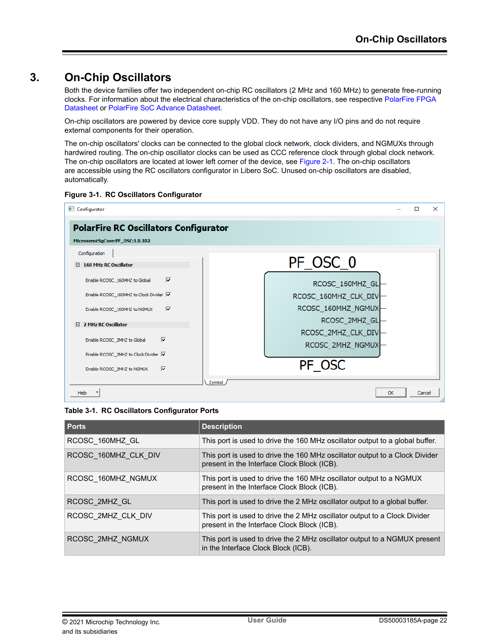# <span id="page-21-0"></span>**3. On-Chip Oscillators**

Both the device families offer two independent on-chip RC oscillators (2 MHz and 160 MHz) to generate free-running clocks. For information about the electrical characteristics of the on-chip oscillators, see respective [PolarFire FPGA](http://www.microsemi.com/index.php?option=com_docman&task=doc_download&gid=136519) [Datasheet](http://www.microsemi.com/index.php?option=com_docman&task=doc_download&gid=136519) or [PolarFire SoC Advance Datasheet.](http://www.microsemi.com/index.php?option=com_docman&task=doc_download&gid=1244583)

On-chip oscillators are powered by device core supply VDD. They do not have any I/O pins and do not require external components for their operation.

The on-chip oscillators' clocks can be connected to the global clock network, clock dividers, and NGMUXs through hardwired routing. The on-chip oscillator clocks can be used as CCC reference clock through global clock network. The on-chip oscillators are located at lower left corner of the device, see [Figure 2-1.](#page-5-0) The on-chip oscillators are accessible using the RC oscillators configurator in Libero SoC. Unused on-chip oscillators are disabled, automatically.





| Table 3-1. RC Oscillators Configurator Ports |  |
|----------------------------------------------|--|
|----------------------------------------------|--|

| <b>Ports</b>         | <b>Description</b>                                                                                                         |
|----------------------|----------------------------------------------------------------------------------------------------------------------------|
| RCOSC 160MHZ GL      | This port is used to drive the 160 MHz oscillator output to a global buffer.                                               |
| RCOSC 160MHZ CLK DIV | This port is used to drive the 160 MHz oscillator output to a Clock Divider<br>present in the Interface Clock Block (ICB). |
| RCOSC 160MHZ NGMUX   | This port is used to drive the 160 MHz oscillator output to a NGMUX<br>present in the Interface Clock Block (ICB).         |
| RCOSC 2MHZ GL        | This port is used to drive the 2 MHz oscillator output to a global buffer.                                                 |
| RCOSC 2MHZ CLK DIV   | This port is used to drive the 2 MHz oscillator output to a Clock Divider<br>present in the Interface Clock Block (ICB).   |
| RCOSC 2MHZ NGMUX     | This port is used to drive the 2 MHz oscillator output to a NGMUX present<br>in the Interface Clock Block (ICB).           |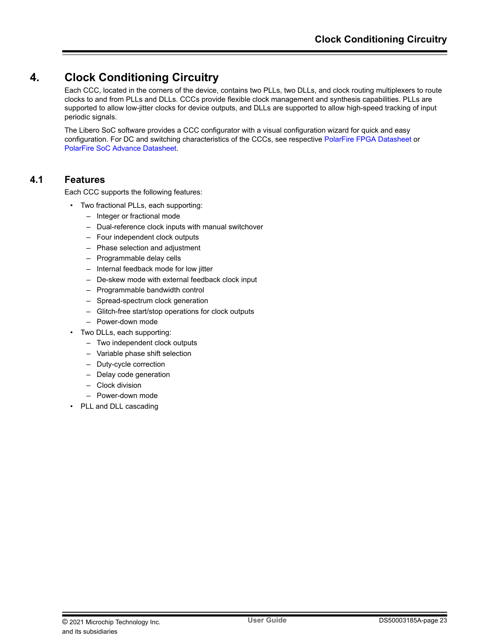# <span id="page-22-0"></span>**4. Clock Conditioning Circuitry**

Each CCC, located in the corners of the device, contains two PLLs, two DLLs, and clock routing multiplexers to route clocks to and from PLLs and DLLs. CCCs provide flexible clock management and synthesis capabilities. PLLs are supported to allow low-jitter clocks for device outputs, and DLLs are supported to allow high-speed tracking of input periodic signals.

The Libero SoC software provides a CCC configurator with a visual configuration wizard for quick and easy configuration. For DC and switching characteristics of the CCCs, see respective [PolarFire FPGA Datasheet](http://www.microsemi.com/index.php?option=com_docman&task=doc_download&gid=136519) or [PolarFire SoC Advance Datasheet.](http://www.microsemi.com/index.php?option=com_docman&task=doc_download&gid=1244583)

# **4.1 Features**

Each CCC supports the following features:

- Two fractional PLLs, each supporting:
	- Integer or fractional mode
	- Dual-reference clock inputs with manual switchover
	- Four independent clock outputs
	- Phase selection and adjustment
	- Programmable delay cells
	- Internal feedback mode for low jitter
	- De-skew mode with external feedback clock input
	- Programmable bandwidth control
	- Spread-spectrum clock generation
	- Glitch-free start/stop operations for clock outputs
	- Power-down mode
- Two DLLs, each supporting:
	- Two independent clock outputs
	- Variable phase shift selection
	- Duty-cycle correction
	- Delay code generation
	- Clock division
	- Power-down mode
- PLL and DLL cascading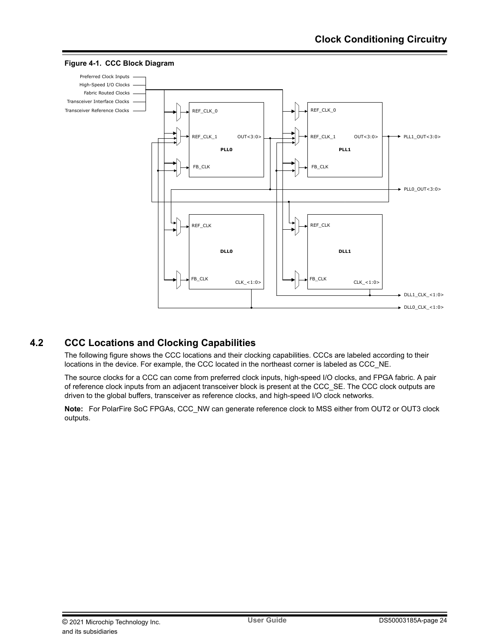

### <span id="page-23-0"></span>**Figure 4-1. CCC Block Diagram**

# **4.2 CCC Locations and Clocking Capabilities**

The following figure shows the CCC locations and their clocking capabilities. CCCs are labeled according to their locations in the device. For example, the CCC located in the northeast corner is labeled as CCC\_NE.

The source clocks for a CCC can come from preferred clock inputs, high-speed I/O clocks, and FPGA fabric. A pair of reference clock inputs from an adjacent transceiver block is present at the CCC\_SE. The CCC clock outputs are driven to the global buffers, transceiver as reference clocks, and high-speed I/O clock networks.

**Note:**  For PolarFire SoC FPGAs, CCC\_NW can generate reference clock to MSS either from OUT2 or OUT3 clock outputs.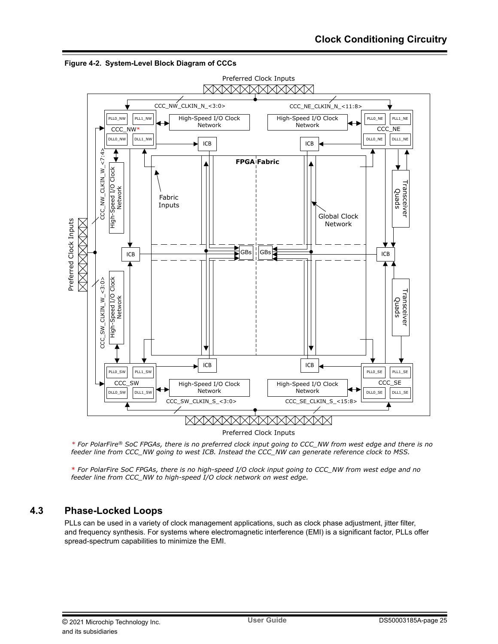

<span id="page-24-0"></span>**Figure 4-2. System-Level Block Diagram of CCCs**

*\* For PolarFire® SoC FPGAs, there is no preferred clock input going to CCC\_NW from west edge and there is no feeder line from CCC\_NW going to west ICB. Instead the CCC\_NW can generate reference clock to MSS.*

\* *For PolarFire SoC FPGAs, there is no high-speed I/O clock input going to CCC\_NW from west edge and no feeder line from CCC\_NW to high-speed I/O clock network on west edge.*

# **4.3 Phase-Locked Loops**

PLLs can be used in a variety of clock management applications, such as clock phase adjustment, jitter filter, and frequency synthesis. For systems where electromagnetic interference (EMI) is a significant factor, PLLs offer spread-spectrum capabilities to minimize the EMI.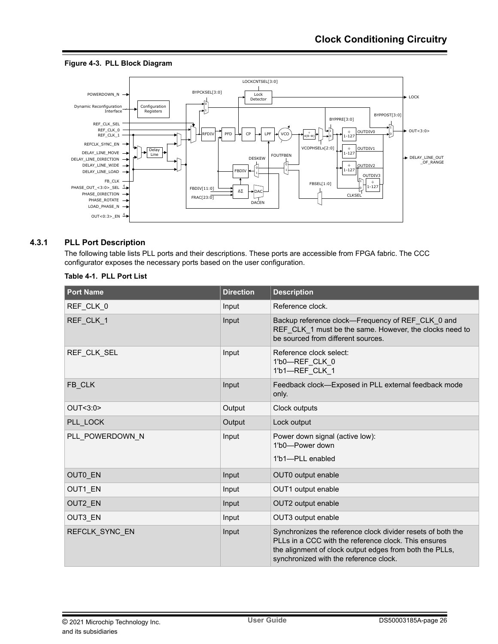## <span id="page-25-0"></span>**Figure 4-3. PLL Block Diagram**



## **4.3.1 PLL Port Description**

The following table lists PLL ports and their descriptions. These ports are accessible from FPGA fabric. The CCC configurator exposes the necessary ports based on the user configuration.

| <b>Port Name</b> | <b>Direction</b> | <b>Description</b>                                                                                                                                                                                                       |
|------------------|------------------|--------------------------------------------------------------------------------------------------------------------------------------------------------------------------------------------------------------------------|
| REF_CLK_0        | Input            | Reference clock.                                                                                                                                                                                                         |
| REF CLK 1        | Input            | Backup reference clock-Frequency of REF_CLK_0 and<br>REF_CLK_1 must be the same. However, the clocks need to<br>be sourced from different sources.                                                                       |
| REF CLK SEL      | Input            | Reference clock select:<br>1'b0-REF CLK 0<br>1'b1-REF_CLK_1                                                                                                                                                              |
| FB CLK           | Input            | Feedback clock-Exposed in PLL external feedback mode<br>only.                                                                                                                                                            |
| OUT<3:0>         | Output           | Clock outputs                                                                                                                                                                                                            |
| PLL LOCK         | Output           | Lock output                                                                                                                                                                                                              |
| PLL POWERDOWN N  | Input            | Power down signal (active low):<br>1'b0-Power down<br>1'b1-PLL enabled                                                                                                                                                   |
| OUT0_EN          | Input            | OUT0 output enable                                                                                                                                                                                                       |
| OUT1 EN          | Input            | OUT1 output enable                                                                                                                                                                                                       |
| OUT2_EN          | Input            | OUT2 output enable                                                                                                                                                                                                       |
| OUT3 EN          | Input            | OUT3 output enable                                                                                                                                                                                                       |
| REFCLK SYNC EN   | Input            | Synchronizes the reference clock divider resets of both the<br>PLLs in a CCC with the reference clock. This ensures<br>the alignment of clock output edges from both the PLLs,<br>synchronized with the reference clock. |

#### **Table 4-1. PLL Port List**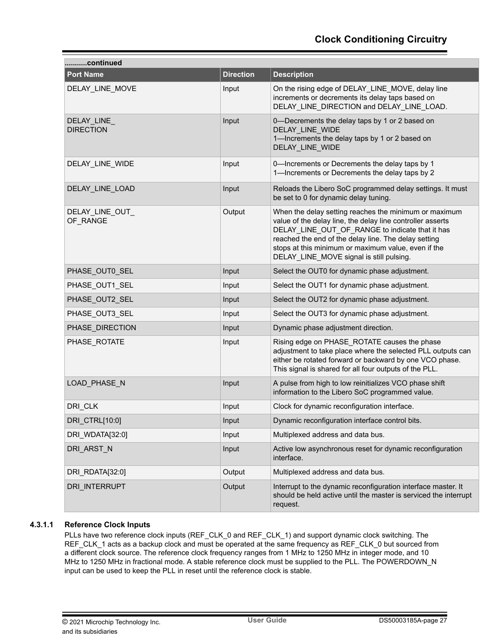| continued                       |                  |                                                                                                                                                                                                                                                                                                                                   |  |  |  |  |
|---------------------------------|------------------|-----------------------------------------------------------------------------------------------------------------------------------------------------------------------------------------------------------------------------------------------------------------------------------------------------------------------------------|--|--|--|--|
| <b>Port Name</b>                | <b>Direction</b> | <b>Description</b>                                                                                                                                                                                                                                                                                                                |  |  |  |  |
| DELAY_LINE_MOVE                 | Input            | On the rising edge of DELAY_LINE_MOVE, delay line<br>increments or decrements its delay taps based on<br>DELAY LINE DIRECTION and DELAY LINE LOAD.                                                                                                                                                                                |  |  |  |  |
| DELAY_LINE_<br><b>DIRECTION</b> | Input            | 0-Decrements the delay taps by 1 or 2 based on<br>DELAY_LINE_WIDE<br>1-Increments the delay taps by 1 or 2 based on<br>DELAY_LINE_WIDE                                                                                                                                                                                            |  |  |  |  |
| DELAY_LINE_WIDE                 | Input            | 0-Increments or Decrements the delay taps by 1<br>1-Increments or Decrements the delay taps by 2                                                                                                                                                                                                                                  |  |  |  |  |
| DELAY_LINE_LOAD                 | Input            | Reloads the Libero SoC programmed delay settings. It must<br>be set to 0 for dynamic delay tuning.                                                                                                                                                                                                                                |  |  |  |  |
| DELAY_LINE_OUT_<br>OF_RANGE     | Output           | When the delay setting reaches the minimum or maximum<br>value of the delay line, the delay line controller asserts<br>DELAY_LINE_OUT_OF_RANGE to indicate that it has<br>reached the end of the delay line. The delay setting<br>stops at this minimum or maximum value, even if the<br>DELAY_LINE_MOVE signal is still pulsing. |  |  |  |  |
| PHASE_OUT0_SEL                  | Input            | Select the OUT0 for dynamic phase adjustment.                                                                                                                                                                                                                                                                                     |  |  |  |  |
| PHASE_OUT1_SEL                  | Input            | Select the OUT1 for dynamic phase adjustment.                                                                                                                                                                                                                                                                                     |  |  |  |  |
| PHASE_OUT2_SEL                  | Input            | Select the OUT2 for dynamic phase adjustment.                                                                                                                                                                                                                                                                                     |  |  |  |  |
| PHASE_OUT3_SEL                  | Input            | Select the OUT3 for dynamic phase adjustment.                                                                                                                                                                                                                                                                                     |  |  |  |  |
| PHASE_DIRECTION                 | Input            | Dynamic phase adjustment direction.                                                                                                                                                                                                                                                                                               |  |  |  |  |
| PHASE_ROTATE                    | Input            | Rising edge on PHASE_ROTATE causes the phase<br>adjustment to take place where the selected PLL outputs can<br>either be rotated forward or backward by one VCO phase.<br>This signal is shared for all four outputs of the PLL.                                                                                                  |  |  |  |  |
| LOAD_PHASE_N                    | Input            | A pulse from high to low reinitializes VCO phase shift<br>information to the Libero SoC programmed value.                                                                                                                                                                                                                         |  |  |  |  |
| DRI_CLK                         | Input            | Clock for dynamic reconfiguration interface.                                                                                                                                                                                                                                                                                      |  |  |  |  |
| DRI_CTRL[10:0]                  | Input            | Dynamic reconfiguration interface control bits.                                                                                                                                                                                                                                                                                   |  |  |  |  |
| DRI_WDATA[32:0]                 | Input            | Multiplexed address and data bus.                                                                                                                                                                                                                                                                                                 |  |  |  |  |
| DRI_ARST_N                      | Input            | Active low asynchronous reset for dynamic reconfiguration<br>interface.                                                                                                                                                                                                                                                           |  |  |  |  |
| DRI RDATA[32:0]                 | Output           | Multiplexed address and data bus.                                                                                                                                                                                                                                                                                                 |  |  |  |  |
| DRI_INTERRUPT                   | Output           | Interrupt to the dynamic reconfiguration interface master. It<br>should be held active until the master is serviced the interrupt<br>request.                                                                                                                                                                                     |  |  |  |  |

## **4.3.1.1 Reference Clock Inputs**

PLLs have two reference clock inputs (REF\_CLK\_0 and REF\_CLK\_1) and support dynamic clock switching. The REF\_CLK\_1 acts as a backup clock and must be operated at the same frequency as REF\_CLK\_0 but sourced from a different clock source. The reference clock frequency ranges from 1 MHz to 1250 MHz in integer mode, and 10 MHz to 1250 MHz in fractional mode. A stable reference clock must be supplied to the PLL. The POWERDOWN\_N input can be used to keep the PLL in reset until the reference clock is stable.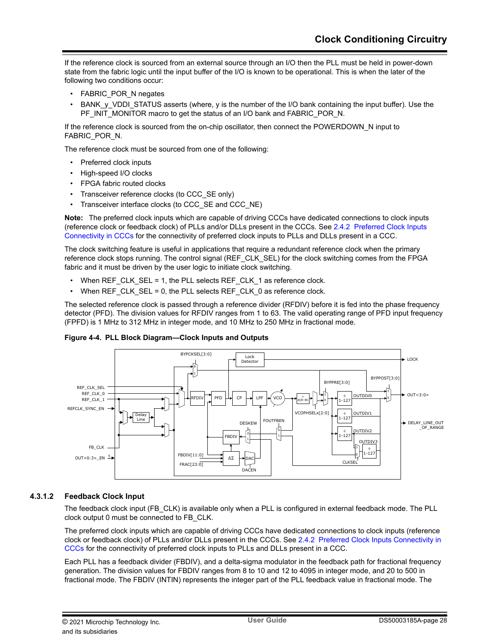If the reference clock is sourced from an external source through an I/O then the PLL must be held in power-down state from the fabric logic until the input buffer of the I/O is known to be operational. This is when the later of the following two conditions occur:

- FABRIC POR N negates
- BANK\_y\_VDDI\_STATUS asserts (where, y is the number of the I/O bank containing the input buffer). Use the PF\_INIT\_MONITOR macro to get the status of an I/O bank and FABRIC\_POR\_N.

If the reference clock is sourced from the on-chip oscillator, then connect the POWERDOWN\_N input to FABRIC\_POR\_N.

The reference clock must be sourced from one of the following:

- Preferred clock inputs
- High-speed I/O clocks
- FPGA fabric routed clocks
- Transceiver reference clocks (to CCC\_SE only)
- Transceiver interface clocks (to CCC\_SE and CCC\_NE)

**Note:**  The preferred clock inputs which are capable of driving CCCs have dedicated connections to clock inputs (reference clock or feedback clock) of PLLs and/or DLLs present in the CCCs. See [2.4.2 Preferred Clock Inputs](#page-12-0) [Connectivity in CCCs](#page-12-0) for the connectivity of preferred clock inputs to PLLs and DLLs present in a CCC.

The clock switching feature is useful in applications that require a redundant reference clock when the primary reference clock stops running. The control signal (REF\_CLK\_SEL) for the clock switching comes from the FPGA fabric and it must be driven by the user logic to initiate clock switching.

- When REF\_CLK\_SEL = 1, the PLL selects REF\_CLK\_1 as reference clock.
- When REF\_CLK\_SEL = 0, the PLL selects REF\_CLK\_0 as reference clock.

The selected reference clock is passed through a reference divider (RFDIV) before it is fed into the phase frequency detector (PFD). The division values for RFDIV ranges from 1 to 63. The valid operating range of PFD input frequency (FPFD) is 1 MHz to 312 MHz in integer mode, and 10 MHz to 250 MHz in fractional mode.

### **Figure 4-4. PLL Block Diagram—Clock Inputs and Outputs**



## **4.3.1.2 Feedback Clock Input**

The feedback clock input (FB\_CLK) is available only when a PLL is configured in external feedback mode. The PLL clock output 0 must be connected to FB\_CLK.

The preferred clock inputs which are capable of driving CCCs have dedicated connections to clock inputs (reference clock or feedback clock) of PLLs and/or DLLs present in the CCCs. See [2.4.2 Preferred Clock Inputs Connectivity in](#page-12-0) [CCCs](#page-12-0) for the connectivity of preferred clock inputs to PLLs and DLLs present in a CCC.

Each PLL has a feedback divider (FBDIV), and a delta-sigma modulator in the feedback path for fractional frequency generation. The division values for FBDIV ranges from 8 to 10 and 12 to 4095 in integer mode, and 20 to 500 in fractional mode. The FBDIV (INTIN) represents the integer part of the PLL feedback value in fractional mode. The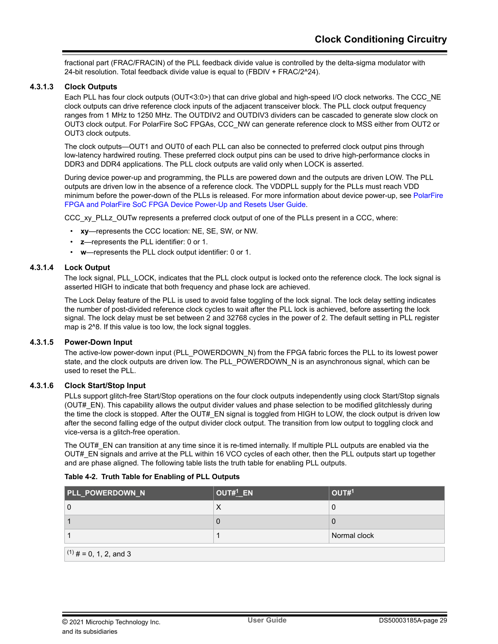fractional part (FRAC/FRACIN) of the PLL feedback divide value is controlled by the delta-sigma modulator with 24-bit resolution. Total feedback divide value is equal to (FBDIV + FRAC/2^24).

### **4.3.1.3 Clock Outputs**

Each PLL has four clock outputs (OUT<3:0>) that can drive global and high-speed I/O clock networks. The CCC\_NE clock outputs can drive reference clock inputs of the adjacent transceiver block. The PLL clock output frequency ranges from 1 MHz to 1250 MHz. The OUTDIV2 and OUTDIV3 dividers can be cascaded to generate slow clock on OUT3 clock output. For PolarFire SoC FPGAs, CCC\_NW can generate reference clock to MSS either from OUT2 or OUT3 clock outputs.

The clock outputs—OUT1 and OUT0 of each PLL can also be connected to preferred clock output pins through low-latency hardwired routing. These preferred clock output pins can be used to drive high-performance clocks in DDR3 and DDR4 applications. The PLL clock outputs are valid only when LOCK is asserted.

During device power-up and programming, the PLLs are powered down and the outputs are driven LOW. The PLL outputs are driven low in the absence of a reference clock. The VDDPLL supply for the PLLs must reach VDD minimum before the power-down of the PLLs is released. For more information about device power-up, see [PolarFire](http://www.microsemi.com/index.php?option=com_docman&task=doc_download&gid=1245811) [FPGA and PolarFire SoC FPGA Device Power-Up and Resets User Guide.](http://www.microsemi.com/index.php?option=com_docman&task=doc_download&gid=1245811)

CCC\_xy\_PLLz\_OUTw represents a preferred clock output of one of the PLLs present in a CCC, where:

- **xy**—represents the CCC location: NE, SE, SW, or NW.
- **z**—represents the PLL identifier: 0 or 1.
- **w**—represents the PLL clock output identifier: 0 or 1.

## **4.3.1.4 Lock Output**

The lock signal, PLL\_LOCK, indicates that the PLL clock output is locked onto the reference clock. The lock signal is asserted HIGH to indicate that both frequency and phase lock are achieved.

The Lock Delay feature of the PLL is used to avoid false toggling of the lock signal. The lock delay setting indicates the number of post-divided reference clock cycles to wait after the PLL lock is achieved, before asserting the lock signal. The lock delay must be set between 2 and 32768 cycles in the power of 2. The default setting in PLL register map is 2^8. If this value is too low, the lock signal toggles.

#### **4.3.1.5 Power-Down Input**

The active-low power-down input (PLL\_POWERDOWN\_N) from the FPGA fabric forces the PLL to its lowest power state, and the clock outputs are driven low. The PLL\_POWERDOWN\_N is an asynchronous signal, which can be used to reset the PLL.

### **4.3.1.6 Clock Start/Stop Input**

PLLs support glitch-free Start/Stop operations on the four clock outputs independently using clock Start/Stop signals (OUT#\_EN). This capability allows the output divider values and phase selection to be modified glitchlessly during the time the clock is stopped. After the OUT# EN signal is toggled from HIGH to LOW, the clock output is driven low after the second falling edge of the output divider clock output. The transition from low output to toggling clock and vice-versa is a glitch-free operation.

The OUT# EN can transition at any time since it is re-timed internally. If multiple PLL outputs are enabled via the OUT# EN signals and arrive at the PLL within 16 VCO cycles of each other, then the PLL outputs start up together and are phase aligned. The following table lists the truth table for enabling PLL outputs.

|  |  |  | Table 4-2. Truth Table for Enabling of PLL Outputs |
|--|--|--|----------------------------------------------------|
|--|--|--|----------------------------------------------------|

| PLL_POWERDOWN_N          | OUT#1_EN | OUT#1        |  |  |  |  |
|--------------------------|----------|--------------|--|--|--|--|
| 0                        | ↗        |              |  |  |  |  |
|                          | υ        |              |  |  |  |  |
|                          |          | Normal clock |  |  |  |  |
| $(1)$ # = 0, 1, 2, and 3 |          |              |  |  |  |  |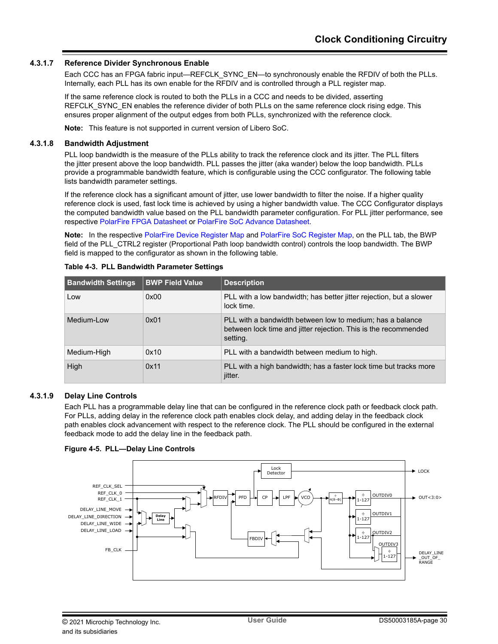### **4.3.1.7 Reference Divider Synchronous Enable**

Each CCC has an FPGA fabric input—REFCLK\_SYNC\_EN—to synchronously enable the RFDIV of both the PLLs. Internally, each PLL has its own enable for the RFDIV and is controlled through a PLL register map.

If the same reference clock is routed to both the PLLs in a CCC and needs to be divided, asserting REFCLK\_SYNC\_EN enables the reference divider of both PLLs on the same reference clock rising edge. This ensures proper alignment of the output edges from both PLLs, synchronized with the reference clock.

**Note:**  This feature is not supported in current version of Libero SoC.

#### **4.3.1.8 Bandwidth Adjustment**

PLL loop bandwidth is the measure of the PLLs ability to track the reference clock and its jitter. The PLL filters the jitter present above the loop bandwidth. PLL passes the jitter (aka wander) below the loop bandwidth. PLLs provide a programmable bandwidth feature, which is configurable using the CCC configurator. The following table lists bandwidth parameter settings.

If the reference clock has a significant amount of jitter, use lower bandwidth to filter the noise. If a higher quality reference clock is used, fast lock time is achieved by using a higher bandwidth value. The CCC Configurator displays the computed bandwidth value based on the PLL bandwidth parameter configuration. For PLL jitter performance, see respective [PolarFire FPGA Datasheet](http://www.microsemi.com/index.php?option=com_docman&task=doc_download&gid=136519) or [PolarFire SoC Advance Datasheet.](http://www.microsemi.com/index.php?option=com_docman&task=doc_download&gid=1244583)

**Note:**  In the respective [PolarFire Device Register Map](http://www.microsemi.com/index.php?option=com_docman&task=doc_download&gid=1243471) and [PolarFire SoC Register Map](http://www.microsemi.com/index.php?option=com_docman&task=doc_download&gid=1244581), on the PLL tab, the BWP field of the PLL\_CTRL2 register (Proportional Path loop bandwidth control) controls the loop bandwidth. The BWP field is mapped to the configurator as shown in the following table.

| <b>Bandwidth Settings</b> | <b>BWP Field Value</b> | <b>Description</b>                                                                                                                       |
|---------------------------|------------------------|------------------------------------------------------------------------------------------------------------------------------------------|
| Low                       | 0x00                   | PLL with a low bandwidth; has better jitter rejection, but a slower<br>lock time.                                                        |
| Medium-Low                | 0x01                   | PLL with a bandwidth between low to medium; has a balance<br>between lock time and jitter rejection. This is the recommended<br>setting. |
| Medium-High               | 0x10                   | PLL with a bandwidth between medium to high.                                                                                             |
| High                      | 0x11                   | PLL with a high bandwidth; has a faster lock time but tracks more<br>jitter.                                                             |

### **4.3.1.9 Delay Line Controls**

Each PLL has a programmable delay line that can be configured in the reference clock path or feedback clock path. For PLLs, adding delay in the reference clock path enables clock delay, and adding delay in the feedback clock path enables clock advancement with respect to the reference clock. The PLL should be configured in the external feedback mode to add the delay line in the feedback path.



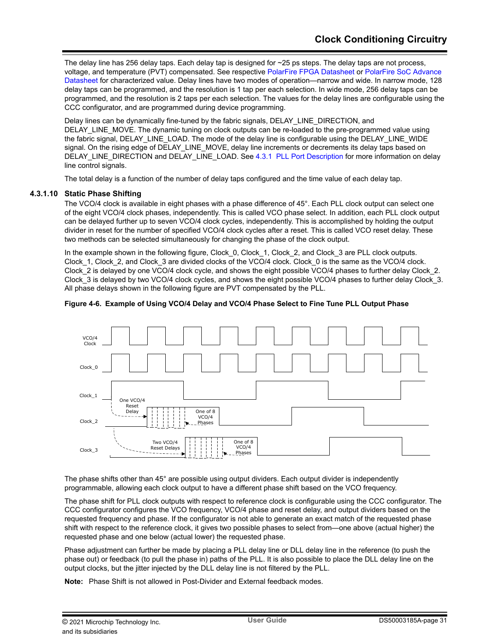The delay line has 256 delay taps. Each delay tap is designed for ~25 ps steps. The delay taps are not process, voltage, and temperature (PVT) compensated. See respective [PolarFire FPGA Datasheet](http://www.microsemi.com/index.php?option=com_docman&task=doc_download&gid=136519) or [PolarFire SoC Advance](http://www.microsemi.com/index.php?option=com_docman&task=doc_download&gid=1244583) [Datasheet](http://www.microsemi.com/index.php?option=com_docman&task=doc_download&gid=1244583) for characterized value. Delay lines have two modes of operation—narrow and wide. In narrow mode, 128 delay taps can be programmed, and the resolution is 1 tap per each selection. In wide mode, 256 delay taps can be programmed, and the resolution is 2 taps per each selection. The values for the delay lines are configurable using the CCC configurator, and are programmed during device programming.

Delay lines can be dynamically fine-tuned by the fabric signals, DELAY\_LINE\_DIRECTION, and DELAY\_LINE\_MOVE. The dynamic tuning on clock outputs can be re-loaded to the pre-programmed value using the fabric signal, DELAY\_LINE\_LOAD. The mode of the delay line is configurable using the DELAY\_LINE\_WIDE signal. On the rising edge of DELAY\_LINE\_MOVE, delay line increments or decrements its delay taps based on DELAY\_LINE\_DIRECTION and DELAY\_LINE\_LOAD. See [4.3.1 PLL Port Description](#page-25-0) for more information on delay line control signals.

The total delay is a function of the number of delay taps configured and the time value of each delay tap.

## **4.3.1.10 Static Phase Shifting**

The VCO/4 clock is available in eight phases with a phase difference of 45°. Each PLL clock output can select one of the eight VCO/4 clock phases, independently. This is called VCO phase select. In addition, each PLL clock output can be delayed further up to seven VCO/4 clock cycles, independently. This is accomplished by holding the output divider in reset for the number of specified VCO/4 clock cycles after a reset. This is called VCO reset delay. These two methods can be selected simultaneously for changing the phase of the clock output.

In the example shown in the following figure, Clock 0, Clock 1, Clock 2, and Clock 3 are PLL clock outputs. Clock 1, Clock 2, and Clock 3 are divided clocks of the VCO/4 clock. Clock 0 is the same as the VCO/4 clock. Clock 2 is delayed by one VCO/4 clock cycle, and shows the eight possible VCO/4 phases to further delay Clock 2. Clock 3 is delayed by two VCO/4 clock cycles, and shows the eight possible VCO/4 phases to further delay Clock 3. All phase delays shown in the following figure are PVT compensated by the PLL.



#### **Figure 4-6. Example of Using VCO/4 Delay and VCO/4 Phase Select to Fine Tune PLL Output Phase**

The phase shifts other than 45° are possible using output dividers. Each output divider is independently programmable, allowing each clock output to have a different phase shift based on the VCO frequency.

The phase shift for PLL clock outputs with respect to reference clock is configurable using the CCC configurator. The CCC configurator configures the VCO frequency, VCO/4 phase and reset delay, and output dividers based on the requested frequency and phase. If the configurator is not able to generate an exact match of the requested phase shift with respect to the reference clock, it gives two possible phases to select from—one above (actual higher) the requested phase and one below (actual lower) the requested phase.

Phase adjustment can further be made by placing a PLL delay line or DLL delay line in the reference (to push the phase out) or feedback (to pull the phase in) paths of the PLL. It is also possible to place the DLL delay line on the output clocks, but the jitter injected by the DLL delay line is not filtered by the PLL.

**Note:**  Phase Shift is not allowed in Post-Divider and External feedback modes.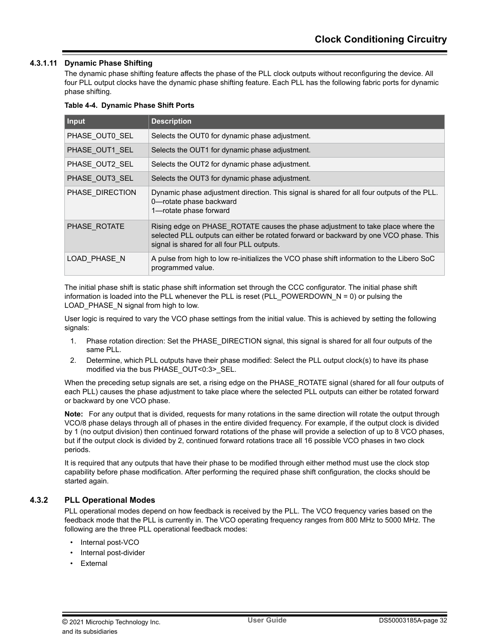## **4.3.1.11 Dynamic Phase Shifting**

The dynamic phase shifting feature affects the phase of the PLL clock outputs without reconfiguring the device. All four PLL output clocks have the dynamic phase shifting feature. Each PLL has the following fabric ports for dynamic phase shifting.

#### **Table 4-4. Dynamic Phase Shift Ports**

| Input           | <b>Description</b>                                                                                                                                                                                                     |
|-----------------|------------------------------------------------------------------------------------------------------------------------------------------------------------------------------------------------------------------------|
| PHASE OUT0 SEL  | Selects the OUT0 for dynamic phase adjustment.                                                                                                                                                                         |
| PHASE OUT1 SEL  | Selects the OUT1 for dynamic phase adjustment.                                                                                                                                                                         |
| PHASE OUT2 SEL  | Selects the OUT2 for dynamic phase adjustment.                                                                                                                                                                         |
| PHASE OUT3 SEL  | Selects the OUT3 for dynamic phase adjustment.                                                                                                                                                                         |
| PHASE DIRECTION | Dynamic phase adjustment direction. This signal is shared for all four outputs of the PLL.<br>0-rotate phase backward<br>1-rotate phase forward                                                                        |
| PHASE ROTATE    | Rising edge on PHASE ROTATE causes the phase adjustment to take place where the<br>selected PLL outputs can either be rotated forward or backward by one VCO phase. This<br>signal is shared for all four PLL outputs. |
| LOAD PHASE N    | A pulse from high to low re-initializes the VCO phase shift information to the Libero SoC<br>programmed value.                                                                                                         |

The initial phase shift is static phase shift information set through the CCC configurator. The initial phase shift information is loaded into the PLL whenever the PLL is reset (PLL\_POWERDOWN\_N = 0) or pulsing the LOAD\_PHASE\_N signal from high to low.

User logic is required to vary the VCO phase settings from the initial value. This is achieved by setting the following signals:

- 1. Phase rotation direction: Set the PHASE\_DIRECTION signal, this signal is shared for all four outputs of the same PLL.
- 2. Determine, which PLL outputs have their phase modified: Select the PLL output clock(s) to have its phase modified via the bus PHASE\_OUT<0:3>\_SEL.

When the preceding setup signals are set, a rising edge on the PHASE\_ROTATE signal (shared for all four outputs of each PLL) causes the phase adjustment to take place where the selected PLL outputs can either be rotated forward or backward by one VCO phase.

**Note:**  For any output that is divided, requests for many rotations in the same direction will rotate the output through VCO/8 phase delays through all of phases in the entire divided frequency. For example, if the output clock is divided by 1 (no output division) then continued forward rotations of the phase will provide a selection of up to 8 VCO phases, but if the output clock is divided by 2, continued forward rotations trace all 16 possible VCO phases in two clock periods.

It is required that any outputs that have their phase to be modified through either method must use the clock stop capability before phase modification. After performing the required phase shift configuration, the clocks should be started again.

## **4.3.2 PLL Operational Modes**

PLL operational modes depend on how feedback is received by the PLL. The VCO frequency varies based on the feedback mode that the PLL is currently in. The VCO operating frequency ranges from 800 MHz to 5000 MHz. The following are the three PLL operational feedback modes:

- Internal post-VCO
- Internal post-divider
- **Fxternal**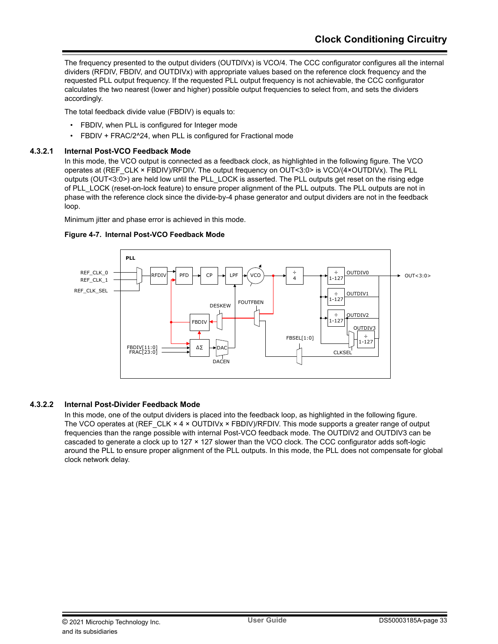The frequency presented to the output dividers (OUTDIVx) is VCO/4. The CCC configurator configures all the internal dividers (RFDIV, FBDIV, and OUTDIVx) with appropriate values based on the reference clock frequency and the requested PLL output frequency. If the requested PLL output frequency is not achievable, the CCC configurator calculates the two nearest (lower and higher) possible output frequencies to select from, and sets the dividers accordingly.

The total feedback divide value (FBDIV) is equals to:

- FBDIV, when PLL is configured for Integer mode
- FBDIV + FRAC/2^24, when PLL is configured for Fractional mode

## **4.3.2.1 Internal Post-VCO Feedback Mode**

In this mode, the VCO output is connected as a feedback clock, as highlighted in the following figure. The VCO operates at (REF\_CLK × FBDIV)/RFDIV. The output frequency on OUT<3:0> is VCO/(4×OUTDIVx). The PLL outputs (OUT<3:0>) are held low until the PLL\_LOCK is asserted. The PLL outputs get reset on the rising edge of PLL\_LOCK (reset-on-lock feature) to ensure proper alignment of the PLL outputs. The PLL outputs are not in phase with the reference clock since the divide-by-4 phase generator and output dividers are not in the feedback loop.

Minimum jitter and phase error is achieved in this mode.



## **Figure 4-7. Internal Post-VCO Feedback Mode**

## **4.3.2.2 Internal Post-Divider Feedback Mode**

In this mode, one of the output dividers is placed into the feedback loop, as highlighted in the following figure. The VCO operates at (REF\_CLK × 4 × OUTDIVx × FBDIV)/RFDIV. This mode supports a greater range of output frequencies than the range possible with internal Post-VCO feedback mode. The OUTDIV2 and OUTDIV3 can be cascaded to generate a clock up to 127 × 127 slower than the VCO clock. The CCC configurator adds soft-logic around the PLL to ensure proper alignment of the PLL outputs. In this mode, the PLL does not compensate for global clock network delay.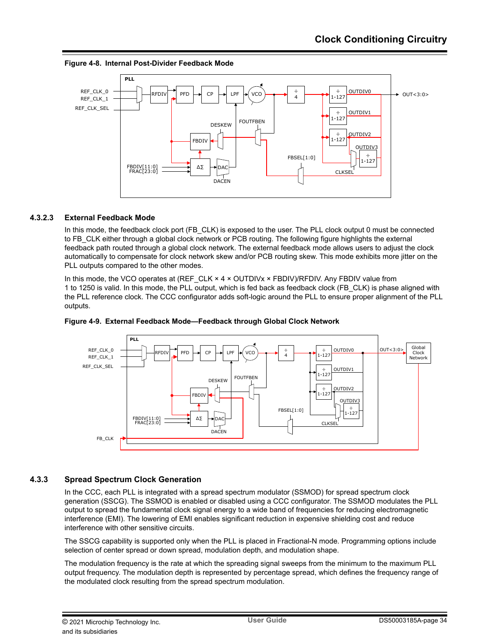



## **4.3.2.3 External Feedback Mode**

In this mode, the feedback clock port (FB CLK) is exposed to the user. The PLL clock output 0 must be connected to FB\_CLK either through a global clock network or PCB routing. The following figure highlights the external feedback path routed through a global clock network. The external feedback mode allows users to adjust the clock automatically to compensate for clock network skew and/or PCB routing skew. This mode exhibits more jitter on the PLL outputs compared to the other modes.

In this mode, the VCO operates at (REF\_CLK × 4 × OUTDIVx × FBDIV)/RFDIV. Any FBDIV value from 1 to 1250 is valid. In this mode, the PLL output, which is fed back as feedback clock (FB\_CLK) is phase aligned with the PLL reference clock. The CCC configurator adds soft-logic around the PLL to ensure proper alignment of the PLL outputs.



## **Figure 4-9. External Feedback Mode—Feedback through Global Clock Network**

## **4.3.3 Spread Spectrum Clock Generation**

In the CCC, each PLL is integrated with a spread spectrum modulator (SSMOD) for spread spectrum clock generation (SSCG). The SSMOD is enabled or disabled using a CCC configurator. The SSMOD modulates the PLL output to spread the fundamental clock signal energy to a wide band of frequencies for reducing electromagnetic interference (EMI). The lowering of EMI enables significant reduction in expensive shielding cost and reduce interference with other sensitive circuits.

The SSCG capability is supported only when the PLL is placed in Fractional-N mode. Programming options include selection of center spread or down spread, modulation depth, and modulation shape.

The modulation frequency is the rate at which the spreading signal sweeps from the minimum to the maximum PLL output frequency. The modulation depth is represented by percentage spread, which defines the frequency range of the modulated clock resulting from the spread spectrum modulation.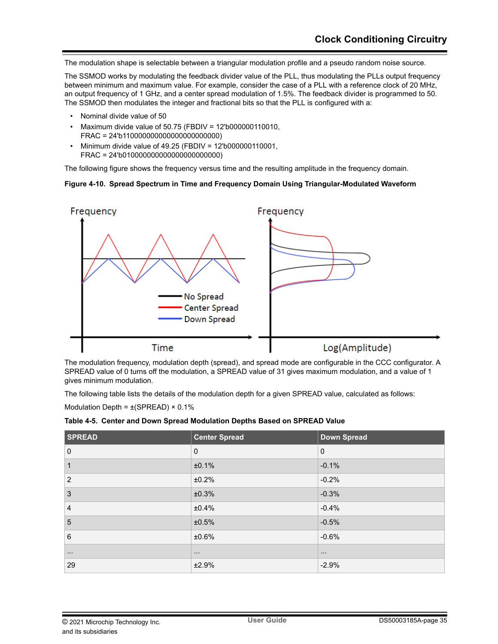The modulation shape is selectable between a triangular modulation profile and a pseudo random noise source.

The SSMOD works by modulating the feedback divider value of the PLL, thus modulating the PLLs output frequency between minimum and maximum value. For example, consider the case of a PLL with a reference clock of 20 MHz, an output frequency of 1 GHz, and a center spread modulation of 1.5%. The feedback divider is programmed to 50. The SSMOD then modulates the integer and fractional bits so that the PLL is configured with a:

- Nominal divide value of 50
- Maximum divide value of 50.75 (FBDIV = 12'b000000110010, FRAC = 24'b110000000000000000000000)
- Minimum divide value of 49.25 (FBDIV = 12'b000000110001, FRAC = 24'b010000000000000000000000)

The following figure shows the frequency versus time and the resulting amplitude in the frequency domain.

### **Figure 4-10. Spread Spectrum in Time and Frequency Domain Using Triangular-Modulated Waveform**



The modulation frequency, modulation depth (spread), and spread mode are configurable in the CCC configurator. A SPREAD value of 0 turns off the modulation, a SPREAD value of 31 gives maximum modulation, and a value of 1 gives minimum modulation.

The following table lists the details of the modulation depth for a given SPREAD value, calculated as follows:

Modulation Depth =  $\pm$ (SPREAD) × 0.1%

|  |  | Table 4-5. Center and Down Spread Modulation Depths Based on SPREAD Value |  |  |
|--|--|---------------------------------------------------------------------------|--|--|
|--|--|---------------------------------------------------------------------------|--|--|

| <b>SPREAD</b>  | <b>Center Spread</b> | Down Spread |
|----------------|----------------------|-------------|
| $\mathbf 0$    | $\mathbf 0$          | $\mathbf 0$ |
| 1              | ±0.1%                | $-0.1%$     |
| $\overline{2}$ | ±0.2%                | $-0.2%$     |
| 3              | ±0.3%                | $-0.3%$     |
| $\overline{4}$ | ±0.4%                | $-0.4%$     |
| 5              | ±0.5%                | $-0.5%$     |
| $6\phantom{1}$ | ±0.6%                | $-0.6%$     |
| $\cdots$       | $\sim$ $\sim$ $\sim$ | $\cdots$    |
| 29             | ±2.9%                | $-2.9%$     |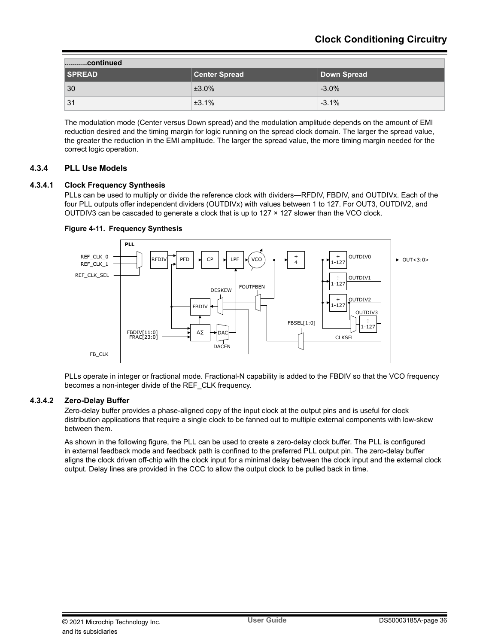| continued     |                      |             |  |
|---------------|----------------------|-------------|--|
| <b>SPREAD</b> | <b>Center Spread</b> | Down Spread |  |
| 30            | $±3.0\%$             | $-3.0\%$    |  |
| 31            | ±3.1%                | $-3.1%$     |  |

The modulation mode (Center versus Down spread) and the modulation amplitude depends on the amount of EMI reduction desired and the timing margin for logic running on the spread clock domain. The larger the spread value, the greater the reduction in the EMI amplitude. The larger the spread value, the more timing margin needed for the correct logic operation.

## **4.3.4 PLL Use Models**

## **4.3.4.1 Clock Frequency Synthesis**

PLLs can be used to multiply or divide the reference clock with dividers—RFDIV, FBDIV, and OUTDIVx. Each of the four PLL outputs offer independent dividers (OUTDIVx) with values between 1 to 127. For OUT3, OUTDIV2, and OUTDIV3 can be cascaded to generate a clock that is up to  $127 \times 127$  slower than the VCO clock.



### **Figure 4-11. Frequency Synthesis**

PLLs operate in integer or fractional mode. Fractional-N capability is added to the FBDIV so that the VCO frequency becomes a non-integer divide of the REF\_CLK frequency.

### **4.3.4.2 Zero-Delay Buffer**

Zero-delay buffer provides a phase-aligned copy of the input clock at the output pins and is useful for clock distribution applications that require a single clock to be fanned out to multiple external components with low-skew between them.

As shown in the following figure, the PLL can be used to create a zero-delay clock buffer. The PLL is configured in external feedback mode and feedback path is confined to the preferred PLL output pin. The zero-delay buffer aligns the clock driven off-chip with the clock input for a minimal delay between the clock input and the external clock output. Delay lines are provided in the CCC to allow the output clock to be pulled back in time.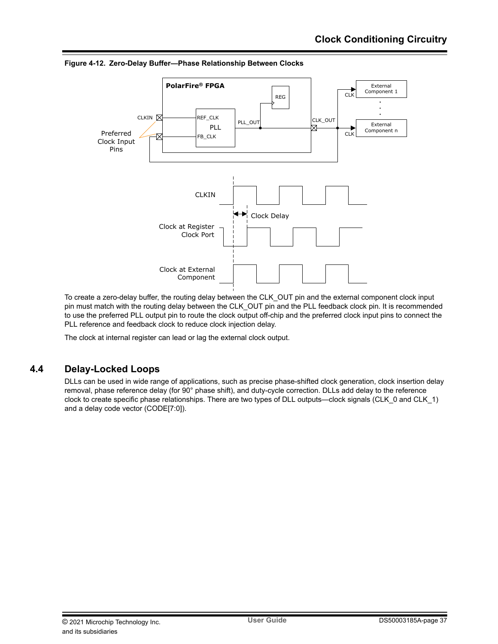

<span id="page-36-0"></span>**Figure 4-12. Zero-Delay Buffer—Phase Relationship Between Clocks**

To create a zero-delay buffer, the routing delay between the CLK\_OUT pin and the external component clock input pin must match with the routing delay between the CLK\_OUT pin and the PLL feedback clock pin. It is recommended to use the preferred PLL output pin to route the clock output off-chip and the preferred clock input pins to connect the PLL reference and feedback clock to reduce clock injection delay.

The clock at internal register can lead or lag the external clock output.

# **4.4 Delay-Locked Loops**

DLLs can be used in wide range of applications, such as precise phase-shifted clock generation, clock insertion delay removal, phase reference delay (for 90° phase shift), and duty-cycle correction. DLLs add delay to the reference clock to create specific phase relationships. There are two types of DLL outputs—clock signals (CLK\_0 and CLK\_1) and a delay code vector (CODE[7:0]).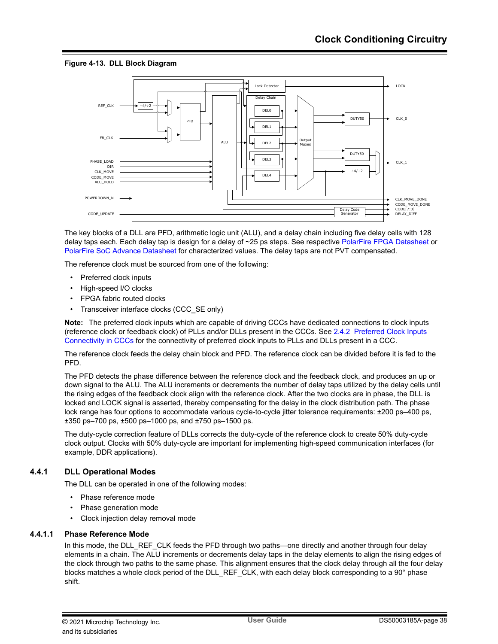## **Figure 4-13. DLL Block Diagram**



The key blocks of a DLL are PFD, arithmetic logic unit (ALU), and a delay chain including five delay cells with 128 delay taps each. Each delay tap is design for a delay of ~25 ps steps. See respective [PolarFire FPGA Datasheet](http://www.microsemi.com/index.php?option=com_docman&task=doc_download&gid=136519) or [PolarFire SoC Advance Datasheet](http://www.microsemi.com/index.php?option=com_docman&task=doc_download&gid=1244583) for characterized values. The delay taps are not PVT compensated.

The reference clock must be sourced from one of the following:

- Preferred clock inputs
- High-speed I/O clocks
- FPGA fabric routed clocks
- Transceiver interface clocks (CCC\_SE only)

**Note:**  The preferred clock inputs which are capable of driving CCCs have dedicated connections to clock inputs (reference clock or feedback clock) of PLLs and/or DLLs present in the CCCs. See [2.4.2 Preferred Clock Inputs](#page-12-0) [Connectivity in CCCs](#page-12-0) for the connectivity of preferred clock inputs to PLLs and DLLs present in a CCC.

The reference clock feeds the delay chain block and PFD. The reference clock can be divided before it is fed to the PFD.

The PFD detects the phase difference between the reference clock and the feedback clock, and produces an up or down signal to the ALU. The ALU increments or decrements the number of delay taps utilized by the delay cells until the rising edges of the feedback clock align with the reference clock. After the two clocks are in phase, the DLL is locked and LOCK signal is asserted, thereby compensating for the delay in the clock distribution path. The phase lock range has four options to accommodate various cycle-to-cycle jitter tolerance requirements: ±200 ps–400 ps, ±350 ps–700 ps, ±500 ps–1000 ps, and ±750 ps–1500 ps.

The duty-cycle correction feature of DLLs corrects the duty-cycle of the reference clock to create 50% duty-cycle clock output. Clocks with 50% duty-cycle are important for implementing high-speed communication interfaces (for example, DDR applications).

## **4.4.1 DLL Operational Modes**

The DLL can be operated in one of the following modes:

- Phase reference mode
- Phase generation mode
- Clock injection delay removal mode

### **4.4.1.1 Phase Reference Mode**

In this mode, the DLL\_REF\_CLK feeds the PFD through two paths—one directly and another through four delay elements in a chain. The ALU increments or decrements delay taps in the delay elements to align the rising edges of the clock through two paths to the same phase. This alignment ensures that the clock delay through all the four delay blocks matches a whole clock period of the DLL\_REF\_CLK, with each delay block corresponding to a 90° phase shift.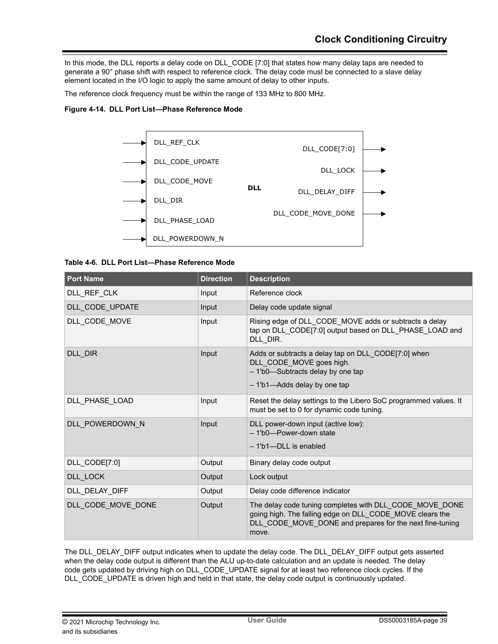In this mode, the DLL reports a delay code on DLL\_CODE [7:0] that states how many delay taps are needed to generate a 90° phase shift with respect to reference clock. The delay code must be connected to a slave delay element located in the I/O logic to apply the same amount of delay to other inputs.

The reference clock frequency must be within the range of 133 MHz to 800 MHz.

### **Figure 4-14. DLL Port List—Phase Reference Mode**



#### **Table 4-6. DLL Port List—Phase Reference Mode**

| <b>Port Name</b>   | <b>Direction</b> | <b>Description</b>                                                                                                                                                                       |
|--------------------|------------------|------------------------------------------------------------------------------------------------------------------------------------------------------------------------------------------|
| DLL_REF_CLK        | Input            | Reference clock                                                                                                                                                                          |
| DLL CODE UPDATE    | Input            | Delay code update signal                                                                                                                                                                 |
| DLL_CODE_MOVE      | Input            | Rising edge of DLL CODE MOVE adds or subtracts a delay<br>tap on DLL_CODE[7:0] output based on DLL_PHASE_LOAD and<br>DLL DIR.                                                            |
| DLL DIR            | Input            | Adds or subtracts a delay tap on DLL_CODE[7:0] when<br>DLL_CODE_MOVE goes high.<br>- 1'b0-Subtracts delay by one tap<br>- 1'b1-Adds delay by one tap                                     |
| DLL PHASE LOAD     | Input            | Reset the delay settings to the Libero SoC programmed values. It<br>must be set to 0 for dynamic code tuning.                                                                            |
| DLL_POWERDOWN_N    | Input            | DLL power-down input (active low):<br>- 1'b0-Power-down state<br>- 1'b1--DLL is enabled                                                                                                  |
| DLL_CODE[7:0]      | Output           | Binary delay code output                                                                                                                                                                 |
| DLL LOCK           | Output           | Lock output                                                                                                                                                                              |
| DLL DELAY DIFF     | Output           | Delay code difference indicator                                                                                                                                                          |
| DLL_CODE_MOVE_DONE | Output           | The delay code tuning completes with DLL_CODE_MOVE_DONE<br>going high. The falling edge on DLL CODE MOVE clears the<br>DLL_CODE_MOVE_DONE and prepares for the next fine-tuning<br>move. |

The DLL\_DELAY\_DIFF output indicates when to update the delay code. The DLL\_DELAY\_DIFF output gets asserted when the delay code output is different than the ALU up-to-date calculation and an update is needed. The delay code gets updated by driving high on DLL\_CODE\_UPDATE signal for at least two reference clock cycles. If the DLL\_CODE\_UPDATE is driven high and held in that state, the delay code output is continuously updated.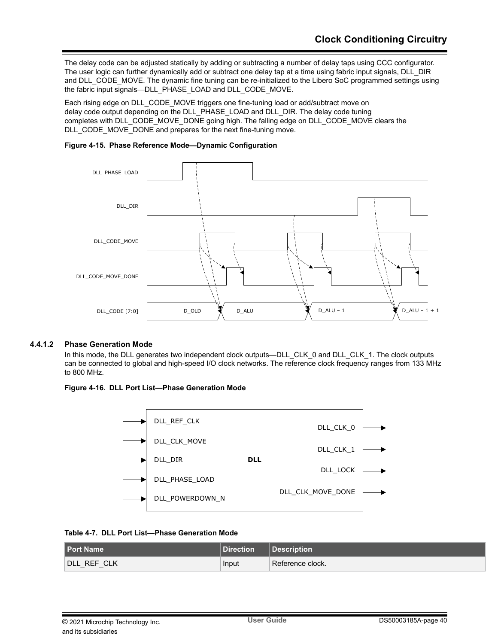The delay code can be adjusted statically by adding or subtracting a number of delay taps using CCC configurator. The user logic can further dynamically add or subtract one delay tap at a time using fabric input signals, DLL\_DIR and DLL\_CODE\_MOVE. The dynamic fine tuning can be re-initialized to the Libero SoC programmed settings using the fabric input signals—DLL\_PHASE\_LOAD and DLL\_CODE\_MOVE.

Each rising edge on DLL\_CODE\_MOVE triggers one fine-tuning load or add/subtract move on delay code output depending on the DLL\_PHASE\_LOAD and DLL\_DIR. The delay code tuning completes with DLL\_CODE\_MOVE\_DONE going high. The falling edge on DLL\_CODE\_MOVE clears the DLL\_CODE\_MOVE\_DONE and prepares for the next fine-tuning move.





### **4.4.1.2 Phase Generation Mode**

In this mode, the DLL generates two independent clock outputs—DLL\_CLK\_0 and DLL\_CLK\_1. The clock outputs can be connected to global and high-speed I/O clock networks. The reference clock frequency ranges from 133 MHz to 800 MHz.

### **Figure 4-16. DLL Port List—Phase Generation Mode**



## **Table 4-7. DLL Port List—Phase Generation Mode**

| <b>Port Name</b>         | <b>Direction</b> | <b>Description</b> |
|--------------------------|------------------|--------------------|
| <b>IDLL REF CLK</b><br>_ | Input            | l Reference clock. |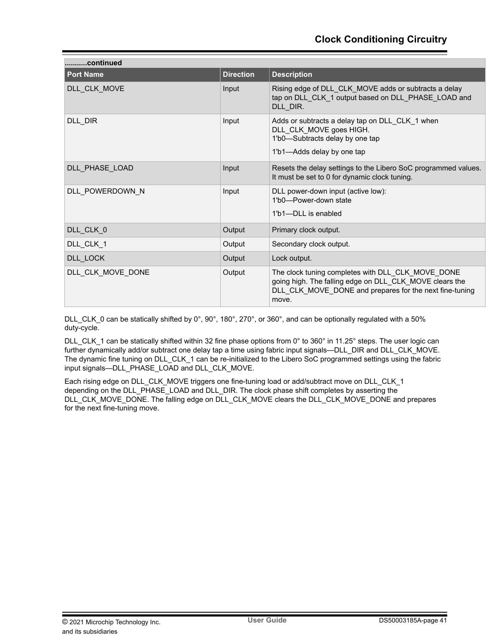| continued         |                  |                                                                                                                                                                                  |  |
|-------------------|------------------|----------------------------------------------------------------------------------------------------------------------------------------------------------------------------------|--|
| <b>Port Name</b>  | <b>Direction</b> | <b>Description</b>                                                                                                                                                               |  |
| DLL CLK MOVE      | Input            | Rising edge of DLL_CLK_MOVE adds or subtracts a delay<br>tap on DLL CLK 1 output based on DLL PHASE LOAD and<br>DLL_DIR.                                                         |  |
| DLL DIR           | Input            | Adds or subtracts a delay tap on DLL_CLK_1 when<br>DLL CLK MOVE goes HIGH.<br>1'b0-Subtracts delay by one tap<br>1'b1-Adds delay by one tap                                      |  |
| DLL PHASE_LOAD    | Input            | Resets the delay settings to the Libero SoC programmed values.<br>It must be set to 0 for dynamic clock tuning.                                                                  |  |
| DLL POWERDOWN N   | Input            | DLL power-down input (active low):<br>1'b0-Power-down state<br>1'b1-DLL is enabled                                                                                               |  |
| DLL_CLK_0         | Output           | Primary clock output.                                                                                                                                                            |  |
| DLL_CLK_1         | Output           | Secondary clock output.                                                                                                                                                          |  |
| DLL LOCK          | Output           | Lock output.                                                                                                                                                                     |  |
| DLL CLK MOVE DONE | Output           | The clock tuning completes with DLL_CLK_MOVE_DONE<br>going high. The falling edge on DLL_CLK_MOVE clears the<br>DLL CLK MOVE DONE and prepares for the next fine-tuning<br>move. |  |

DLL\_CLK\_0 can be statically shifted by 0°, 90°, 180°, 270°, or 360°, and can be optionally regulated with a 50% duty-cycle.

DLL CLK 1 can be statically shifted within 32 fine phase options from 0° to 360° in 11.25° steps. The user logic can further dynamically add/or subtract one delay tap a time using fabric input signals—DLL\_DIR and DLL\_CLK\_MOVE. The dynamic fine tuning on DLL\_CLK\_1 can be re-initialized to the Libero SoC programmed settings using the fabric input signals—DLL\_PHASE\_LOAD and DLL\_CLK\_MOVE.

Each rising edge on DLL\_CLK\_MOVE triggers one fine-tuning load or add/subtract move on DLL\_CLK\_1 depending on the DLL\_PHASE\_LOAD and DLL\_DIR. The clock phase shift completes by asserting the DLL\_CLK\_MOVE\_DONE. The falling edge on DLL\_CLK\_MOVE clears the DLL\_CLK\_MOVE\_DONE and prepares for the next fine-tuning move.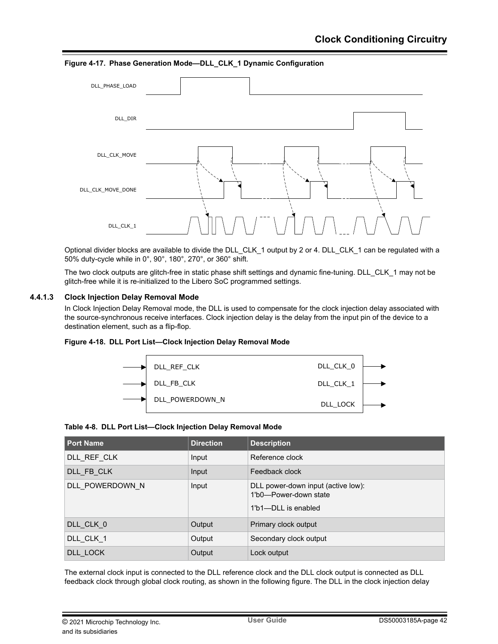DLL\_PHASE\_LOAD DLL\_DIR DLL\_CLK\_MOVE DLL\_CLK\_MOVE\_DONE DLL\_CLK\_1

**Figure 4-17. Phase Generation Mode—DLL\_CLK\_1 Dynamic Configuration**

Optional divider blocks are available to divide the DLL\_CLK\_1 output by 2 or 4. DLL\_CLK\_1 can be regulated with a 50% duty-cycle while in 0°, 90°, 180°, 270°, or 360° shift.

The two clock outputs are glitch-free in static phase shift settings and dynamic fine-tuning. DLL\_CLK\_1 may not be glitch-free while it is re-initialized to the Libero SoC programmed settings.

### **4.4.1.3 Clock Injection Delay Removal Mode**

In Clock Injection Delay Removal mode, the DLL is used to compensate for the clock injection delay associated with the source-synchronous receive interfaces. Clock injection delay is the delay from the input pin of the device to a destination element, such as a flip-flop.





#### **Table 4-8. DLL Port List—Clock Injection Delay Removal Mode**

| <b>Port Name</b> | <b>Direction</b> | <b>Description</b>                                                                 |
|------------------|------------------|------------------------------------------------------------------------------------|
| DLL REF CLK      | Input            | Reference clock                                                                    |
| DLL FB CLK       | Input            | Feedback clock                                                                     |
| DLL POWERDOWN N  | Input            | DLL power-down input (active low):<br>1'b0-Power-down state<br>1'b1-DLL is enabled |
| DLL_CLK_0        | Output           | Primary clock output                                                               |
| DLL CLK 1        | Output           | Secondary clock output                                                             |
| DLL LOCK         | Output           | Lock output                                                                        |

The external clock input is connected to the DLL reference clock and the DLL clock output is connected as DLL feedback clock through global clock routing, as shown in the following figure. The DLL in the clock injection delay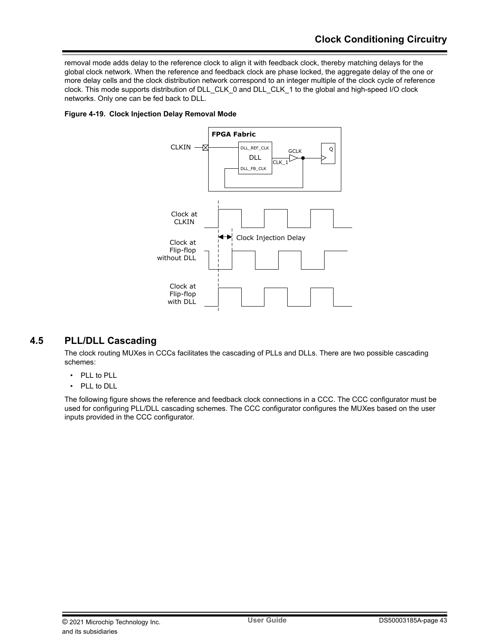<span id="page-42-0"></span>removal mode adds delay to the reference clock to align it with feedback clock, thereby matching delays for the global clock network. When the reference and feedback clock are phase locked, the aggregate delay of the one or more delay cells and the clock distribution network correspond to an integer multiple of the clock cycle of reference clock. This mode supports distribution of DLL\_CLK\_0 and DLL\_CLK\_1 to the global and high-speed I/O clock networks. Only one can be fed back to DLL.

## **Figure 4-19. Clock Injection Delay Removal Mode**



# **4.5 PLL/DLL Cascading**

The clock routing MUXes in CCCs facilitates the cascading of PLLs and DLLs. There are two possible cascading schemes:

- PLL to PLL
- PLL to DLL

The following figure shows the reference and feedback clock connections in a CCC. The CCC configurator must be used for configuring PLL/DLL cascading schemes. The CCC configurator configures the MUXes based on the user inputs provided in the CCC configurator.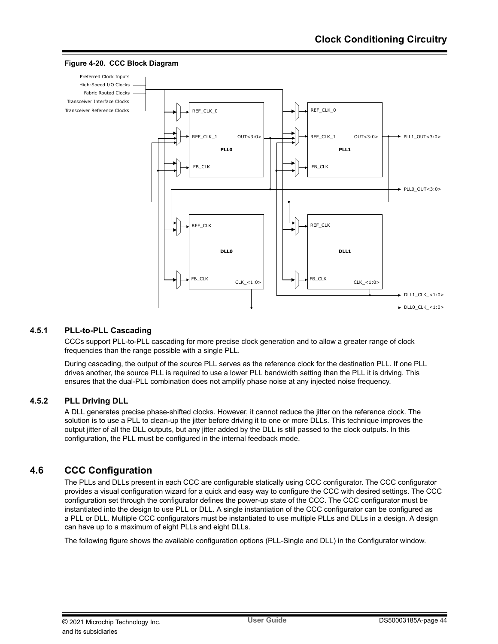

#### <span id="page-43-0"></span>**Figure 4-20. CCC Block Diagram**

## **4.5.1 PLL-to-PLL Cascading**

CCCs support PLL-to-PLL cascading for more precise clock generation and to allow a greater range of clock frequencies than the range possible with a single PLL.

During cascading, the output of the source PLL serves as the reference clock for the destination PLL. If one PLL drives another, the source PLL is required to use a lower PLL bandwidth setting than the PLL it is driving. This ensures that the dual-PLL combination does not amplify phase noise at any injected noise frequency.

## **4.5.2 PLL Driving DLL**

A DLL generates precise phase-shifted clocks. However, it cannot reduce the jitter on the reference clock. The solution is to use a PLL to clean-up the jitter before driving it to one or more DLLs. This technique improves the output jitter of all the DLL outputs, but any jitter added by the DLL is still passed to the clock outputs. In this configuration, the PLL must be configured in the internal feedback mode.

# **4.6 CCC Configuration**

The PLLs and DLLs present in each CCC are configurable statically using CCC configurator. The CCC configurator provides a visual configuration wizard for a quick and easy way to configure the CCC with desired settings. The CCC configuration set through the configurator defines the power-up state of the CCC. The CCC configurator must be instantiated into the design to use PLL or DLL. A single instantiation of the CCC configurator can be configured as a PLL or DLL. Multiple CCC configurators must be instantiated to use multiple PLLs and DLLs in a design. A design can have up to a maximum of eight PLLs and eight DLLs.

The following figure shows the available configuration options (PLL-Single and DLL) in the Configurator window.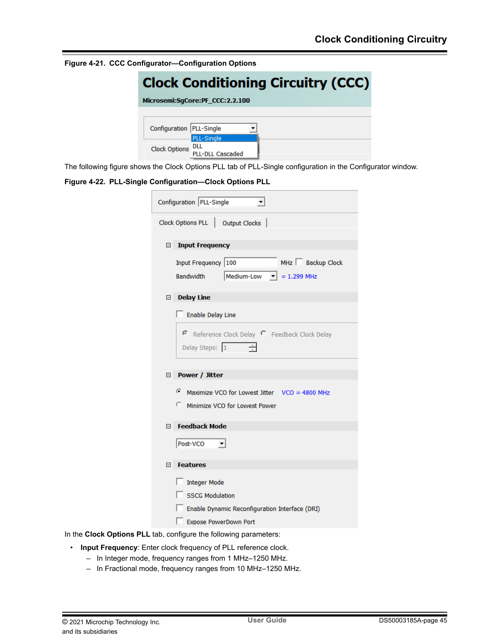**Figure 4-21. CCC Configurator—Configuration Options**

| <b>Clock Conditioning Circuitry (CCC)</b> |                                 |  |  |
|-------------------------------------------|---------------------------------|--|--|
|                                           | Microsemi:SqCore:PF CCC:2.2.100 |  |  |
|                                           |                                 |  |  |
| Configuration   PLL-Single                |                                 |  |  |
|                                           | PLL-Single                      |  |  |
| Clock Options DLL                         | <b>PLL-DLL Cascaded</b>         |  |  |

The following figure shows the Clock Options PLL tab of PLL-Single configuration in the Configurator window.

#### **Figure 4-22. PLL-Single Configuration—Clock Options PLL**

| Configuration PLL-Single                                                                                                 |
|--------------------------------------------------------------------------------------------------------------------------|
| Clock Options PLL   Output Clocks                                                                                        |
| □ Input Frequency                                                                                                        |
| MHz Backup Clock<br>Input Frequency 100<br>Medium-Low $\mathbf{v}$ = 1.299 MHz<br>Bandwidth                              |
| Delay Line                                                                                                               |
| Enable Delay Line                                                                                                        |
| Reference Clock Delay C Feedback Clock Delay<br>Delay Steps: 1                                                           |
| □ Power / Jitter                                                                                                         |
| Maximize VCO for Lowest Jitter VCO = 4800 MHz<br>C Minimize VCO for Lowest Power                                         |
| □ Feedback Mode                                                                                                          |
| Post-VCO<br>$\vert \cdot \vert$                                                                                          |
| E Features                                                                                                               |
| Integer Mode<br><b>SSCG Modulation</b><br>Enable Dynamic Reconfiguration Interface (DRI)<br><b>Expose PowerDown Port</b> |

In the **Clock Options PLL** tab, configure the following parameters:

- **Input Frequency**: Enter clock frequency of PLL reference clock.
	- In Integer mode, frequency ranges from 1 MHz–1250 MHz.
	- In Fractional mode, frequency ranges from 10 MHz–1250 MHz.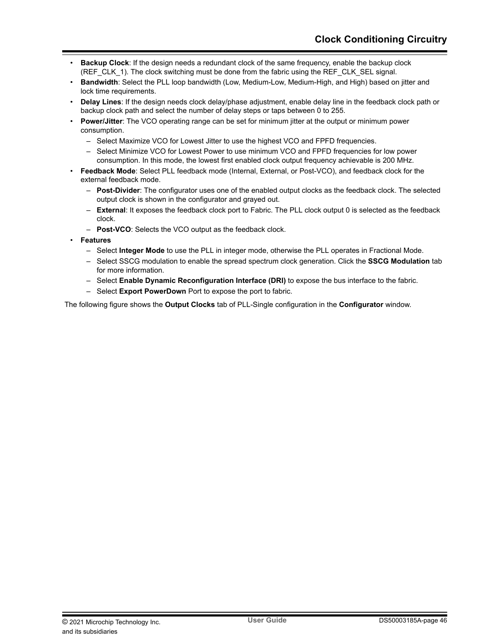- **Backup Clock**: If the design needs a redundant clock of the same frequency, enable the backup clock (REF\_CLK\_1). The clock switching must be done from the fabric using the REF\_CLK\_SEL signal.
- **Bandwidth**: Select the PLL loop bandwidth (Low, Medium-Low, Medium-High, and High) based on jitter and lock time requirements.
- **Delay Lines**: If the design needs clock delay/phase adjustment, enable delay line in the feedback clock path or backup clock path and select the number of delay steps or taps between 0 to 255.
- **Power/Jitter**: The VCO operating range can be set for minimum jitter at the output or minimum power consumption.
	- Select Maximize VCO for Lowest Jitter to use the highest VCO and FPFD frequencies.
	- Select Minimize VCO for Lowest Power to use minimum VCO and FPFD frequencies for low power consumption. In this mode, the lowest first enabled clock output frequency achievable is 200 MHz.
- **Feedback Mode**: Select PLL feedback mode (Internal, External, or Post-VCO), and feedback clock for the external feedback mode.
	- **Post-Divider**: The configurator uses one of the enabled output clocks as the feedback clock. The selected output clock is shown in the configurator and grayed out.
	- **External**: It exposes the feedback clock port to Fabric. The PLL clock output 0 is selected as the feedback clock.
	- **Post-VCO**: Selects the VCO output as the feedback clock.
- **Features**
	- Select **Integer Mode** to use the PLL in integer mode, otherwise the PLL operates in Fractional Mode.
	- Select SSCG modulation to enable the spread spectrum clock generation. Click the **SSCG Modulation** tab for more information.
	- Select **Enable Dynamic Reconfiguration Interface (DRI)** to expose the bus interface to the fabric.
	- Select **Export PowerDown** Port to expose the port to fabric.

The following figure shows the **Output Clocks** tab of PLL-Single configuration in the **Configurator** window.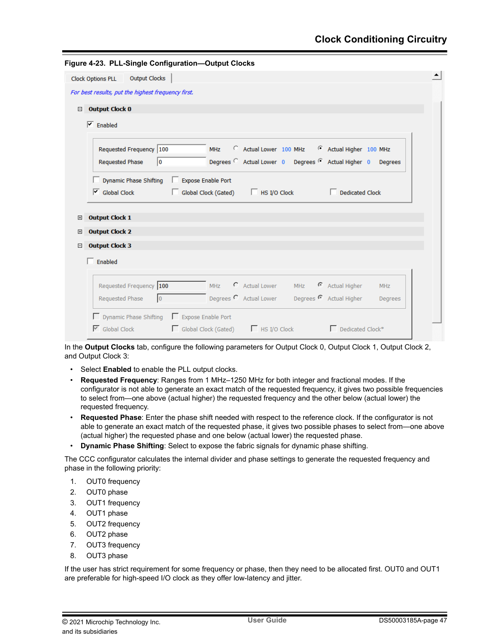|                                      | Figure 4-23. PLL-Single Configuration-Output Clocks |                      |            |                                                                                                              |            |                 |            |
|--------------------------------------|-----------------------------------------------------|----------------------|------------|--------------------------------------------------------------------------------------------------------------|------------|-----------------|------------|
| <b>Clock Options PLL</b>             | <b>Output Clocks</b>                                |                      |            |                                                                                                              |            |                 |            |
|                                      | For best results, put the highest frequency first.  |                      |            |                                                                                                              |            |                 |            |
| <b>Output Clock 0</b><br>$\Box$      |                                                     |                      |            |                                                                                                              |            |                 |            |
| $\overline{\mathsf{v}}$ Enabled      |                                                     |                      |            |                                                                                                              |            |                 |            |
| <b>Requested Phase</b>               | Requested Frequency 100<br>10                       |                      | <b>MHz</b> | C Actual Lower 100 MHz C Actual Higher 100 MHz<br>Degrees C Actual Lower 0 Degrees C Actual Higher 0 Degrees |            |                 |            |
|                                      | Dynamic Phase Shifting   Expose Enable Port         |                      |            |                                                                                                              |            |                 |            |
| $\overline{\mathsf{S}}$ Global Clock |                                                     | Global Clock (Gated) |            | HS I/O Clock<br>E.                                                                                           |            | Dedicated Clock |            |
| <b>Output Clock 1</b><br>$\pm$       |                                                     |                      |            |                                                                                                              |            |                 |            |
| <b>Output Clock 2</b><br>$\boxplus$  |                                                     |                      |            |                                                                                                              |            |                 |            |
| <b>Output Clock 3</b><br>⊟           |                                                     |                      |            |                                                                                                              |            |                 |            |
| Enabled                              |                                                     |                      |            |                                                                                                              |            |                 |            |
|                                      | Requested Frequency 100                             |                      | <b>MHz</b> | C Actual Lower                                                                                               | <b>MHz</b> | Actual Higher   | <b>MHz</b> |
| Requested Phase                      | $\overline{0}$                                      |                      |            | Degrees <sup>C</sup> Actual Lower Degrees <sup>C</sup> Actual Higher                                         |            |                 | Degrees    |
|                                      | □ Dynamic Phase Shifting □ Expose Enable Port       |                      |            |                                                                                                              |            |                 |            |

In the **Output Clocks** tab, configure the following parameters for Output Clock 0, Output Clock 1, Output Clock 2, and Output Clock 3:

- Select **Enabled** to enable the PLL output clocks.
- **Requested Frequency**: Ranges from 1 MHz–1250 MHz for both integer and fractional modes. If the configurator is not able to generate an exact match of the requested frequency, it gives two possible frequencies to select from—one above (actual higher) the requested frequency and the other below (actual lower) the requested frequency.
- **Requested Phase**: Enter the phase shift needed with respect to the reference clock. If the configurator is not able to generate an exact match of the requested phase, it gives two possible phases to select from—one above (actual higher) the requested phase and one below (actual lower) the requested phase.
- **Dynamic Phase Shifting**: Select to expose the fabric signals for dynamic phase shifting.

The CCC configurator calculates the internal divider and phase settings to generate the requested frequency and phase in the following priority:

- 1. OUT0 frequency
- 2. OUT0 phase
- 3. OUT1 frequency
- 4. OUT1 phase
- 5. OUT2 frequency
- 6. OUT2 phase
- 7. OUT3 frequency
- 8. OUT3 phase

If the user has strict requirement for some frequency or phase, then they need to be allocated first. OUT0 and OUT1 are preferable for high-speed I/O clock as they offer low-latency and jitter.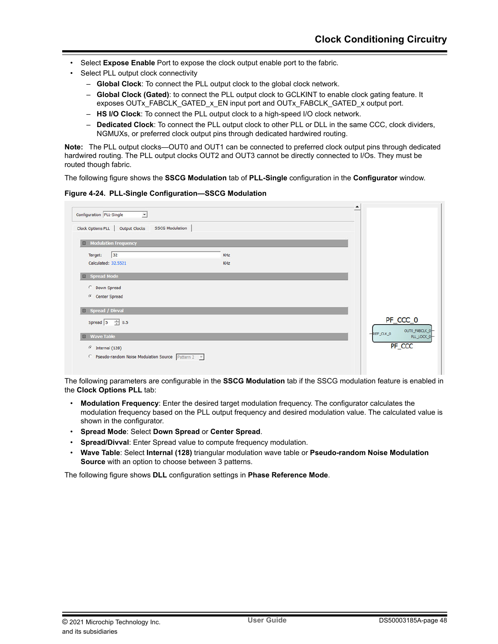- Select **Expose Enable** Port to expose the clock output enable port to the fabric.
- Select PLL output clock connectivity
	- **Global Clock**: To connect the PLL output clock to the global clock network.
	- **Global Clock (Gated)**: to connect the PLL output clock to GCLKINT to enable clock gating feature. It exposes OUTx\_FABCLK\_GATED\_x\_EN input port and OUTx\_FABCLK\_GATED\_x output port.
	- **HS I/O Clock**: To connect the PLL output clock to a high-speed I/O clock network.
	- **Dedicated Clock**: To connect the PLL output clock to other PLL or DLL in the same CCC, clock dividers, NGMUXs, or preferred clock output pins through dedicated hardwired routing.

**Note:**  The PLL output clocks—OUT0 and OUT1 can be connected to preferred clock output pins through dedicated hardwired routing. The PLL output clocks OUT2 and OUT3 cannot be directly connected to I/Os. They must be routed though fabric.

The following figure shows the **SSCG Modulation** tab of **PLL-Single** configuration in the **Configurator** window.

**Figure 4-24. PLL-Single Configuration—SSCG Modulation**

| Clock Options PLL   Output Clocks<br><b>SSCG Modulation</b> |     |                                       |
|-------------------------------------------------------------|-----|---------------------------------------|
| <b>El Modulation Frequency</b>                              |     |                                       |
| 32<br>Target:                                               | KHz |                                       |
| Calculated: 32.5521                                         | KHz |                                       |
| <b>E</b> Spread Mode                                        |     |                                       |
| C Down Spread                                               |     |                                       |
| <b>Center Spread</b>                                        |     |                                       |
|                                                             |     |                                       |
| E Spread / Divval                                           |     |                                       |
|                                                             |     | PF_CCC_0                              |
| Spread $5 \div 0.5$                                         |     |                                       |
| <b>Wave Table</b><br>日                                      |     | $-$ REF_CLK_0                         |
| $\binom{3}{1}$ Internal (128)                               |     | OUTO_FABCLK_0<br>PLL_LOCK_0<br>PF_CCC |

The following parameters are configurable in the **SSCG Modulation** tab if the SSCG modulation feature is enabled in the **Clock Options PLL** tab:

- **Modulation Frequency**: Enter the desired target modulation frequency. The configurator calculates the modulation frequency based on the PLL output frequency and desired modulation value. The calculated value is shown in the configurator.
- **Spread Mode**: Select **Down Spread** or **Center Spread**.
- **Spread/Divval:** Enter Spread value to compute frequency modulation.
- **Wave Table**: Select **Internal (128)** triangular modulation wave table or **Pseudo-random Noise Modulation Source** with an option to choose between 3 patterns.

The following figure shows **DLL** configuration settings in **Phase Reference Mode**.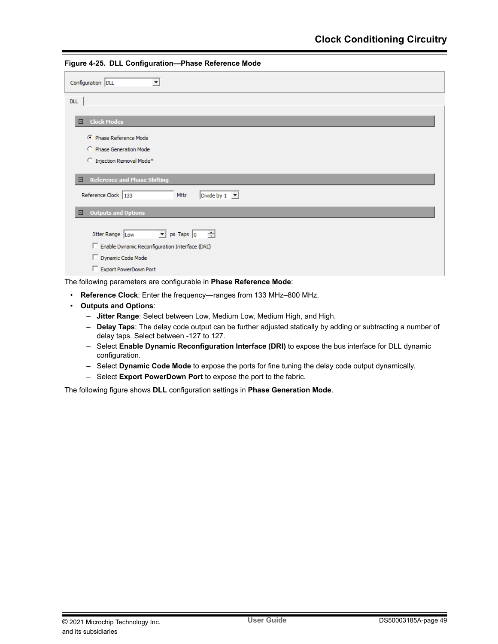| Configuration DLL                                                           |
|-----------------------------------------------------------------------------|
| <b>DLL</b>                                                                  |
| <b>Clock Modes</b><br>$\Box$                                                |
| C Phase Reference Mode                                                      |
| C Phase Generation Mode                                                     |
| C Injection Removal Mode*                                                   |
| <b>Reference and Phase Shifting</b><br>$\Box$                               |
| Reference Clock 133<br>Divide by $1 \quad \boxed{\mathbf{v}}$<br><b>MHz</b> |
| <b>Outputs and Options</b><br>$\Box$                                        |
| Jitter Range Low<br>$\Box$ ps Taps $\boxed{0}$ $\boxed{\Box}$               |
| Enable Dynamic Reconfiguration Interface (DRI)                              |
| Dynamic Code Mode                                                           |
| Export PowerDown Port                                                       |
| The following parameters are configurable in Phase Reference Mode:          |

**Figure 4-25. DLL Configuration—Phase Reference Mode**

• **Reference Clock**: Enter the frequency—ranges from 133 MHz–800 MHz.

- **Outputs and Options**:
	- **Jitter Range**: Select between Low, Medium Low, Medium High, and High.
	- **Delay Taps**: The delay code output can be further adjusted statically by adding or subtracting a number of delay taps. Select between -127 to 127.
	- Select **Enable Dynamic Reconfiguration Interface (DRI)** to expose the bus interface for DLL dynamic configuration.
	- Select **Dynamic Code Mode** to expose the ports for fine tuning the delay code output dynamically.
	- Select **Export PowerDown Port** to expose the port to the fabric.

The following figure shows **DLL** configuration settings in **Phase Generation Mode**.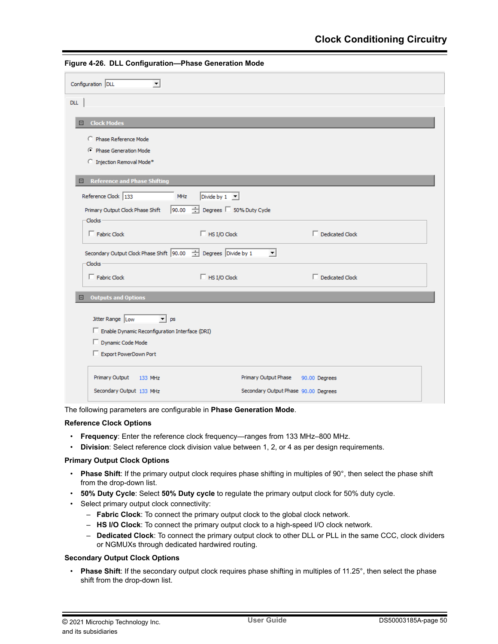| Configuration DLL<br>$\vert \cdot \vert$                                          |                                       |
|-----------------------------------------------------------------------------------|---------------------------------------|
| <b>DLL</b>                                                                        |                                       |
| <b>Clock Modes</b><br>Ξ.                                                          |                                       |
| C Phase Reference Mode                                                            |                                       |
| C Phase Generation Mode                                                           |                                       |
| C Injection Removal Mode*                                                         |                                       |
| Reference and Phase Shifting<br>Θ.                                                |                                       |
| Reference Clock 133<br>Divide by $1 - 7$<br>MHz                                   |                                       |
| 90.00 Degrees 50% Duty Cycle<br>Primary Output Clock Phase Shift<br><b>Clocks</b> |                                       |
| $\Box$ HS I/O Clock<br>$\Box$ Fabric Clock                                        | $\Box$ Dedicated Clock                |
| Secondary Output Clock Phase Shift 90.00 - Degrees Divide by 1<br><b>Clocks</b>   | $\vert \cdot \vert$                   |
| $\Box$ Fabric Clock<br>$\Box$ HS I/O Clock                                        | $\Box$ Dedicated Clock                |
| <b>Outputs and Options</b><br>$\boxdot$                                           |                                       |
| Jitter Range Low<br>$\mathbf{v}$ ps                                               |                                       |
| Enable Dynamic Reconfiguration Interface (DRI)                                    |                                       |
| Dynamic Code Mode                                                                 |                                       |
| Export PowerDown Port                                                             |                                       |
| Primary Output<br>133 MHz                                                         | Primary Output Phase<br>90.00 Degrees |
| Secondary Output 133 MHz                                                          | Secondary Output Phase 90.00 Degrees  |

**Figure 4-26. DLL Configuration—Phase Generation Mode**

The following parameters are configurable in **Phase Generation Mode**.

#### **Reference Clock Options**

- **Frequency**: Enter the reference clock frequency—ranges from 133 MHz–800 MHz.
- **Division**: Select reference clock division value between 1, 2, or 4 as per design requirements.

#### **Primary Output Clock Options**

- **Phase Shift**: If the primary output clock requires phase shifting in multiples of 90°, then select the phase shift from the drop-down list.
- **50% Duty Cycle**: Select **50% Duty cycle** to regulate the primary output clock for 50% duty cycle.
- Select primary output clock connectivity:
	- **Fabric Clock**: To connect the primary output clock to the global clock network.
	- **HS I/O Clock**: To connect the primary output clock to a high-speed I/O clock network.
	- **Dedicated Clock**: To connect the primary output clock to other DLL or PLL in the same CCC, clock dividers or NGMUXs through dedicated hardwired routing.

### **Secondary Output Clock Options**

• **Phase Shift**: If the secondary output clock requires phase shifting in multiples of 11.25°, then select the phase shift from the drop-down list.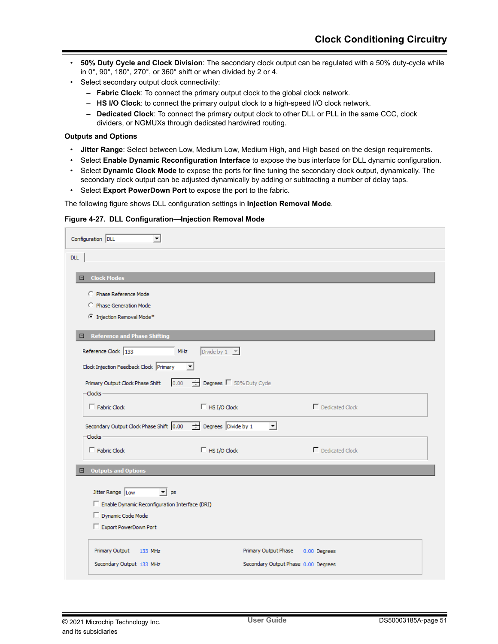- **50% Duty Cycle and Clock Division**: The secondary clock output can be regulated with a 50% duty-cycle while in 0°, 90°, 180°, 270°, or 360° shift or when divided by 2 or 4.
- Select secondary output clock connectivity:
	- **Fabric Clock**: To connect the primary output clock to the global clock network.
	- **HS I/O Clock**: to connect the primary output clock to a high-speed I/O clock network.
	- **Dedicated Clock**: To connect the primary output clock to other DLL or PLL in the same CCC, clock dividers, or NGMUXs through dedicated hardwired routing.

#### **Outputs and Options**

- **Jitter Range**: Select between Low, Medium Low, Medium High, and High based on the design requirements.
- Select **Enable Dynamic Reconfiguration Interface** to expose the bus interface for DLL dynamic configuration.
- Select **Dynamic Clock Mode** to expose the ports for fine tuning the secondary clock output, dynamically. The secondary clock output can be adjusted dynamically by adding or subtracting a number of delay taps.
- Select **Export PowerDown Port** to expose the port to the fabric.

The following figure shows DLL configuration settings in **Injection Removal Mode**.

|  | Figure 4-27. DLL Configuration-Injection Removal Mode |  |  |
|--|-------------------------------------------------------|--|--|
|  |                                                       |  |  |

| Configuration DLL<br>$\blacktriangledown$                                                                  |  |  |  |  |
|------------------------------------------------------------------------------------------------------------|--|--|--|--|
| <b>DLL</b>                                                                                                 |  |  |  |  |
| <b>Clock Modes</b><br>Θ.                                                                                   |  |  |  |  |
| C Phase Reference Mode                                                                                     |  |  |  |  |
| C Phase Generation Mode                                                                                    |  |  |  |  |
| <sup>C</sup> Injection Removal Mode*                                                                       |  |  |  |  |
| E Reference and Phase Shifting                                                                             |  |  |  |  |
| Reference Clock 133<br>Divide by $1 - \sqrt{\pi}$<br>MHz                                                   |  |  |  |  |
| Clock Injection Feedback Clock Primary<br>▾                                                                |  |  |  |  |
| Degrees   50% Duty Cycle<br>$0.00 -$<br>Primary Output Clock Phase Shift                                   |  |  |  |  |
| -Clocks -                                                                                                  |  |  |  |  |
| $\Gamma$ Dedicated Clock<br>$\Box$ Eabric Clock<br>$\Box$ HS I/O Clock                                     |  |  |  |  |
| Secondary Output Clock Phase Shift 0.00<br>$\frac{1}{\sqrt{2}}$ Degrees Divide by 1<br>$\vert \cdot \vert$ |  |  |  |  |
| -Clocks -                                                                                                  |  |  |  |  |
| $\Box$ HS I/O Clock<br>$\Gamma$ Dedicated Clock<br>$\Box$ Fabric Clock                                     |  |  |  |  |
| <b>Outputs and Options</b><br>Ξ                                                                            |  |  |  |  |
| Jitter Range Low<br>$\mathbf{v}$ ps                                                                        |  |  |  |  |
| Enable Dynamic Reconfiguration Interface (DRI)                                                             |  |  |  |  |
| Dynamic Code Mode                                                                                          |  |  |  |  |
| Export PowerDown Port                                                                                      |  |  |  |  |
|                                                                                                            |  |  |  |  |
| Primary Output<br>Primary Output Phase<br>133 MHz<br>0.00 Degrees                                          |  |  |  |  |
| Secondary Output 133 MHz<br>Secondary Output Phase 0.00 Degrees                                            |  |  |  |  |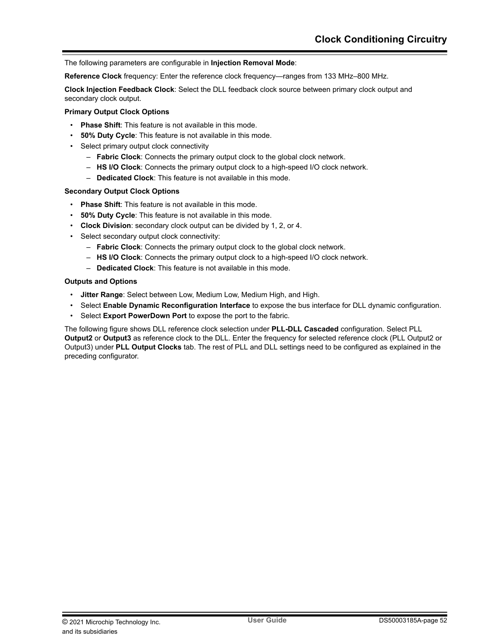The following parameters are configurable in **Injection Removal Mode**:

**Reference Clock** frequency: Enter the reference clock frequency—ranges from 133 MHz–800 MHz.

**Clock Injection Feedback Clock**: Select the DLL feedback clock source between primary clock output and secondary clock output.

#### **Primary Output Clock Options**

- **Phase Shift**: This feature is not available in this mode.
- **50% Duty Cycle**: This feature is not available in this mode.
- Select primary output clock connectivity
	- **Fabric Clock**: Connects the primary output clock to the global clock network.
	- **HS I/O Clock**: Connects the primary output clock to a high-speed I/O clock network.
	- **Dedicated Clock**: This feature is not available in this mode.

#### **Secondary Output Clock Options**

- **Phase Shift**: This feature is not available in this mode.
- **50% Duty Cycle**: This feature is not available in this mode.
- **Clock Division**: secondary clock output can be divided by 1, 2, or 4.
- Select secondary output clock connectivity:
	- **Fabric Clock**: Connects the primary output clock to the global clock network.
	- **HS I/O Clock**: Connects the primary output clock to a high-speed I/O clock network.
	- **Dedicated Clock**: This feature is not available in this mode.

#### **Outputs and Options**

- **Jitter Range**: Select between Low, Medium Low, Medium High, and High.
- Select **Enable Dynamic Reconfiguration Interface** to expose the bus interface for DLL dynamic configuration.
- Select **Export PowerDown Port** to expose the port to the fabric.

The following figure shows DLL reference clock selection under **PLL-DLL Cascaded** configuration. Select PLL **Output2** or **Output3** as reference clock to the DLL. Enter the frequency for selected reference clock (PLL Output2 or Output3) under **PLL Output Clocks** tab. The rest of PLL and DLL settings need to be configured as explained in the preceding configurator.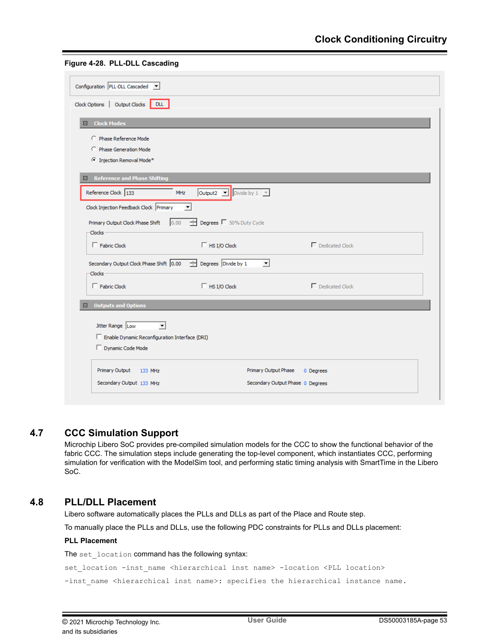<span id="page-52-0"></span>

|  |  |  | Figure 4-28. PLL-DLL Cascading |
|--|--|--|--------------------------------|
|--|--|--|--------------------------------|

| Configuration PLL-DLL Cascaded v                                                                      |                                                                              |                                   |  |
|-------------------------------------------------------------------------------------------------------|------------------------------------------------------------------------------|-----------------------------------|--|
| Clock Options   Output Clocks   DLL                                                                   |                                                                              |                                   |  |
| <b>Clock Modes</b><br>Θ                                                                               |                                                                              |                                   |  |
| C Phase Reference Mode                                                                                |                                                                              |                                   |  |
| C Phase Generation Mode                                                                               |                                                                              |                                   |  |
| <sup>6</sup> Injection Removal Mode*                                                                  |                                                                              |                                   |  |
| $\blacksquare$ Reference and Phase Shifting                                                           |                                                                              |                                   |  |
| Reference Clock 133                                                                                   | Output2 $\boxed{\triangleright}$ Divide by 1 $\boxed{\triangleright}$<br>MHz |                                   |  |
| Clock Injection Feedback Clock Primary                                                                | $\blacktriangledown$                                                         |                                   |  |
| Primary Output Clock Phase Shift<br>-Clocks -                                                         | $\frac{1}{\sqrt{2}}$ Degrees $\Box$ 50% Duty Cycle<br>0.00                   |                                   |  |
| $\Box$ Fabric Clock                                                                                   | $\Box$ HS I/O Clock                                                          | $\Gamma$ Dedicated Clock          |  |
| Secondary Output Clock Phase Shift $\boxed{0.00 \quad \frac{4}{35}}$ Degrees Divide by 1<br>-Clocks - | $\vert \cdot \vert$                                                          |                                   |  |
| $\Box$ Eabric Clock                                                                                   | $\Box$ HS I/O Clock                                                          | $\Gamma$ Dedicated Clock          |  |
| $\Box$ Outputs and Options                                                                            |                                                                              |                                   |  |
|                                                                                                       |                                                                              |                                   |  |
| Jitter Range Low<br>$\overline{\phantom{a}}$<br>Enable Dynamic Reconfiguration Interface (DRI)        |                                                                              |                                   |  |
| Dynamic Code Mode                                                                                     |                                                                              |                                   |  |
| Primary Output<br>133 MHz                                                                             |                                                                              | Primary Output Phase<br>0 Degrees |  |
| Secondary Output 133 MHz                                                                              |                                                                              | Secondary Output Phase 0 Degrees  |  |

# **4.7 CCC Simulation Support**

Microchip Libero SoC provides pre-compiled simulation models for the CCC to show the functional behavior of the fabric CCC. The simulation steps include generating the top-level component, which instantiates CCC, performing simulation for verification with the ModelSim tool, and performing static timing analysis with SmartTime in the Libero SoC.

# **4.8 PLL/DLL Placement**

Libero software automatically places the PLLs and DLLs as part of the Place and Route step.

To manually place the PLLs and DLLs, use the following PDC constraints for PLLs and DLLs placement:

## **PLL Placement**

The set location command has the following syntax:

set\_location -inst\_name <hierarchical inst name> -location <PLL location>

-inst\_name <hierarchical inst name>: specifies the hierarchical instance name.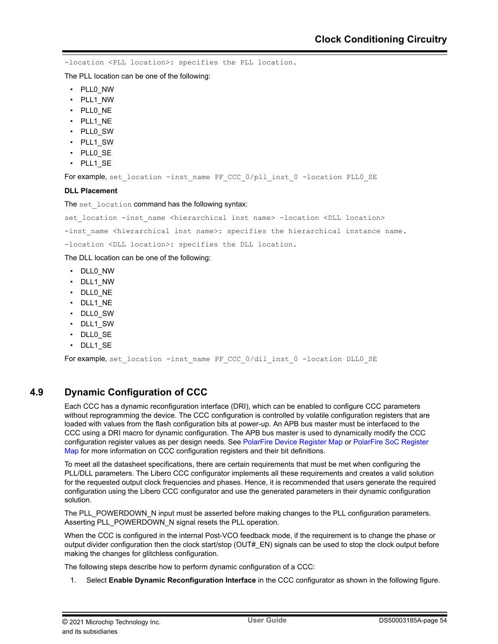<span id="page-53-0"></span>-location <PLL location>: specifies the PLL location.

The PLL location can be one of the following:

- PLL0\_NW
- PLL1\_NW
- PLLO NE
- PLL1\_NE
- PLL0\_SW
- PLL1\_SW
- PLL0\_SE
- 
- PLL1 SE

For example, set location -inst name PF CCC 0/pll inst 0 -location PLL0 SE

#### **DLL Placement**

The set location command has the following syntax:

```
set location -inst name <hierarchical inst name> -location <DLL location>
```
-inst name <hierarchical inst name>: specifies the hierarchical instance name.

-location <DLL location>: specifies the DLL location.

The DLL location can be one of the following:

- DLL0\_NW
- DLL1\_NW
- DLLO NE
- DLL1\_NE
- DLL0\_SW
- DLL1\_SW
- DLL0\_SE
- DLL1\_SE

For example, set location -inst name PF CCC 0/dll inst 0 -location DLL0 SE

# **4.9 Dynamic Configuration of CCC**

Each CCC has a dynamic reconfiguration interface (DRI), which can be enabled to configure CCC parameters without reprogramming the device. The CCC configuration is controlled by volatile configuration registers that are loaded with values from the flash configuration bits at power-up. An APB bus master must be interfaced to the CCC using a DRI macro for dynamic configuration. The APB bus master is used to dynamically modify the CCC configuration register values as per design needs. See [PolarFire Device Register Map](http://www.microsemi.com/index.php?option=com_docman&task=doc_download&gid=1243471) or [PolarFire SoC Register](http://www.microsemi.com/index.php?option=com_docman&task=doc_download&gid=1244581) [Map](http://www.microsemi.com/index.php?option=com_docman&task=doc_download&gid=1244581) for more information on CCC configuration registers and their bit definitions.

To meet all the datasheet specifications, there are certain requirements that must be met when configuring the PLL/DLL parameters. The Libero CCC configurator implements all these requirements and creates a valid solution for the requested output clock frequencies and phases. Hence, it is recommended that users generate the required configuration using the Libero CCC configurator and use the generated parameters in their dynamic configuration solution.

The PLL\_POWERDOWN\_N input must be asserted before making changes to the PLL configuration parameters. Asserting PLL\_POWERDOWN\_N signal resets the PLL operation.

When the CCC is configured in the internal Post-VCO feedback mode, if the requirement is to change the phase or output divider configuration then the clock start/stop (OUT# EN) signals can be used to stop the clock output before making the changes for glitchless configuration.

The following steps describe how to perform dynamic configuration of a CCC:

1. Select **Enable Dynamic Reconfiguration Interface** in the CCC configurator as shown in the following figure.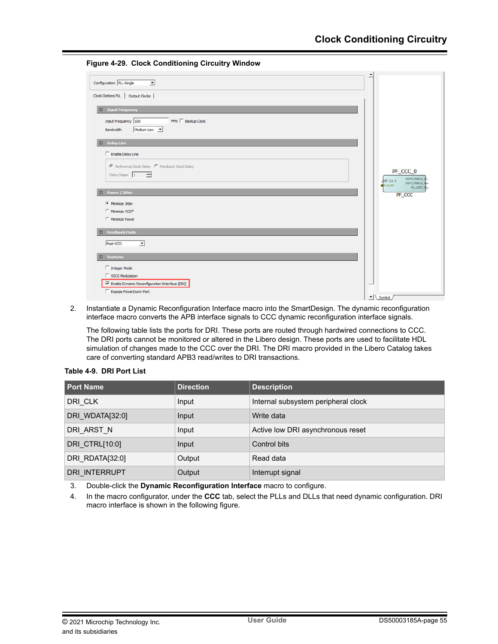**Figure 4-29. Clock Conditioning Circuitry Window**



2. Instantiate a Dynamic Reconfiguration Interface macro into the SmartDesign. The dynamic reconfiguration interface macro converts the APB interface signals to CCC dynamic reconfiguration interface signals.

The following table lists the ports for DRI. These ports are routed through hardwired connections to CCC. The DRI ports cannot be monitored or altered in the Libero design. These ports are used to facilitate HDL simulation of changes made to the CCC over the DRI. The DRI macro provided in the Libero Catalog takes care of converting standard APB3 read/writes to DRI transactions.

| <b>Port Name</b>     | <b>Direction</b> | <b>Description</b>                  |
|----------------------|------------------|-------------------------------------|
| DRI CLK              | Input            | Internal subsystem peripheral clock |
| DRI WDATA[32:0]      | Input            | Write data                          |
| DRI ARST N           | Input            | Active low DRI asynchronous reset   |
| DRI CTRL[10:0]       | Input            | Control bits                        |
| DRI RDATA[32:0]      | Output           | Read data                           |
| <b>DRI INTERRUPT</b> | Output           | Interrupt signal                    |

**Table 4-9. DRI Port List**

3. Double-click the **Dynamic Reconfiguration Interface** macro to configure.

4. In the macro configurator, under the **CCC** tab, select the PLLs and DLLs that need dynamic configuration. DRI macro interface is shown in the following figure.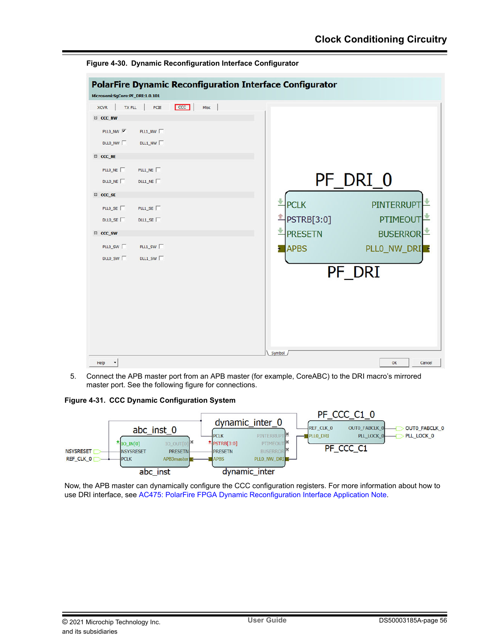

**Figure 4-30. Dynamic Reconfiguration Interface Configurator**

5. Connect the APB master port from an APB master (for example, CoreABC) to the DRI macro's mirrored master port. See the following figure for connections.

**Figure 4-31. CCC Dynamic Configuration System**



Now, the APB master can dynamically configure the CCC configuration registers. For more information about how to use DRI interface, see [AC475: PolarFire FPGA Dynamic Reconfiguration Interface Application Note.](http://www.microsemi.com/index.php?option=com_docman&task=doc_download&gid=1243516)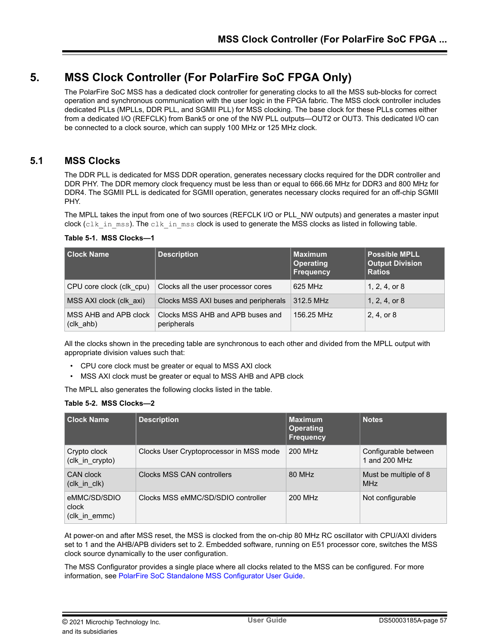# <span id="page-56-0"></span>**5. MSS Clock Controller (For PolarFire SoC FPGA Only)**

The PolarFire SoC MSS has a dedicated clock controller for generating clocks to all the MSS sub-blocks for correct operation and synchronous communication with the user logic in the FPGA fabric. The MSS clock controller includes dedicated PLLs (MPLLs, DDR PLL, and SGMII PLL) for MSS clocking. The base clock for these PLLs comes either from a dedicated I/O (REFCLK) from Bank5 or one of the NW PLL outputs—OUT2 or OUT3. This dedicated I/O can be connected to a clock source, which can supply 100 MHz or 125 MHz clock.

# **5.1 MSS Clocks**

The DDR PLL is dedicated for MSS DDR operation, generates necessary clocks required for the DDR controller and DDR PHY. The DDR memory clock frequency must be less than or equal to 666.66 MHz for DDR3 and 800 MHz for DDR4. The SGMII PLL is dedicated for SGMII operation, generates necessary clocks required for an off-chip SGMII PHY.

The MPLL takes the input from one of two sources (REFCLK I/O or PLL\_NW outputs) and generates a master input clock (clk in mss). The clk in mss clock is used to generate the MSS clocks as listed in following table.

## **Table 5-1. MSS Clocks—1**

| <b>Clock Name</b>                    | <b>Description</b>                              | <b>Maximum</b><br><b>Operating</b><br><b>Frequency</b> | <b>Possible MPLL</b><br><b>Output Division</b><br><b>Ratios</b> |
|--------------------------------------|-------------------------------------------------|--------------------------------------------------------|-----------------------------------------------------------------|
| CPU core clock (clk cpu)             | Clocks all the user processor cores             | 625 MHz                                                | $1, 2, 4,$ or 8                                                 |
| MSS AXI clock (clk axi)              | Clocks MSS AXI buses and peripherals            | 312.5 MHz                                              | 1, 2, 4, or 8                                                   |
| MSS AHB and APB clock<br>$(clk_ahb)$ | Clocks MSS AHB and APB buses and<br>peripherals | 156.25 MHz                                             | 2, 4, or 8                                                      |

All the clocks shown in the preceding table are synchronous to each other and divided from the MPLL output with appropriate division values such that:

- CPU core clock must be greater or equal to MSS AXI clock
- MSS AXI clock must be greater or equal to MSS AHB and APB clock

The MPLL also generates the following clocks listed in the table.

### **Table 5-2. MSS Clocks—2**

| <b>Clock Name</b>                      | <b>Description</b>                      | <b>Maximum</b><br><b>Operating</b><br><b>Frequency</b> | <b>Notes</b>                          |
|----------------------------------------|-----------------------------------------|--------------------------------------------------------|---------------------------------------|
| Crypto clock<br>(clk_in_crypto)        | Clocks User Cryptoprocessor in MSS mode | 200 MHz                                                | Configurable between<br>1 and 200 MHz |
| CAN clock<br>$clk$ in $clk)$           | Clocks MSS CAN controllers              | 80 MHz                                                 | Must be multiple of 8<br><b>MHz</b>   |
| eMMC/SD/SDIO<br>clock<br>(clk_in_emmc) | Clocks MSS eMMC/SD/SDIO controller      | 200 MHz                                                | Not configurable                      |

At power-on and after MSS reset, the MSS is clocked from the on-chip 80 MHz RC oscillator with CPU/AXI dividers set to 1 and the AHB/APB dividers set to 2. Embedded software, running on E51 processor core, switches the MSS clock source dynamically to the user configuration.

The MSS Configurator provides a single place where all clocks related to the MSS can be configured. For more information, see [PolarFire SoC Standalone MSS Configurator User Guide.](https://www.microsemi.com/product-directory/soc-design-tools/5587-pfsoc-mss-configurator-tool#documents)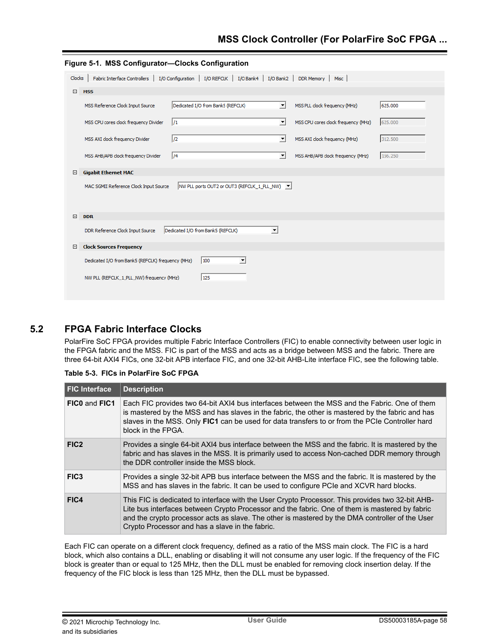<span id="page-57-0"></span>

|        | Figure 5-1. MSS Configurator-Clocks Configuration |                                                                                                           |                      |                                     |         |
|--------|---------------------------------------------------|-----------------------------------------------------------------------------------------------------------|----------------------|-------------------------------------|---------|
| Clocks |                                                   | Fabric Interface Controllers   I/O Configuration   I/O REFCLK   I/O Bank4   I/O Bank2   DDR Memory   Misc |                      |                                     |         |
| 曰      | <b>MSS</b>                                        |                                                                                                           |                      |                                     |         |
|        | MSS Reference Clock Input Source                  | Dedicated I/O from Bank5 (REFCLK)                                                                         | ▾                    | MSS PLL clock frequency (MHz)       | 625.000 |
|        | MSS CPU cores clock frequency Divider             | 1/1                                                                                                       | ▾                    | MSS CPU cores clock frequency (MHz) | 625,000 |
|        | MSS AXI clock frequency Divider                   | $\frac{1}{2}$                                                                                             | 회                    | MSS AXI clock frequency (MHz)       | 312.500 |
|        | MSS AHB/APB clock frequency Divider               | /4                                                                                                        | 회                    | MSS AHB/APB clock frequency (MHz)   | 156,250 |
| ⊟      | <b>Gigabit Ethernet MAC</b>                       |                                                                                                           |                      |                                     |         |
|        | MAC SGMII Reference Clock Input Source            | NW PLL ports OUT2 or OUT3 (REFCLK_1_PLL_NW)   V                                                           |                      |                                     |         |
| $\Box$ | <b>DDR</b>                                        |                                                                                                           |                      |                                     |         |
|        | DDR Reference Clock Input Source                  | Dedicated I/O from Bank5 (REFCLK)                                                                         | $\blacktriangledown$ |                                     |         |
| Ξ      | <b>Clock Sources Frequency</b>                    |                                                                                                           |                      |                                     |         |
|        | Dedicated I/O from Bank5 (REFCLK) frequency (MHz) | 100<br>۰                                                                                                  |                      |                                     |         |
|        | NW PLL (REFCLK 1 PLL NW) frequency (MHz)          | 125                                                                                                       |                      |                                     |         |

# **5.2 FPGA Fabric Interface Clocks**

PolarFire SoC FPGA provides multiple Fabric Interface Controllers (FIC) to enable connectivity between user logic in the FPGA fabric and the MSS. FIC is part of the MSS and acts as a bridge between MSS and the fabric. There are three 64-bit AXI4 FICs, one 32-bit APB interface FIC, and one 32-bit AHB-Lite interface FIC, see the following table.

### **Table 5-3. FICs in PolarFire SoC FPGA**

| <b>FIC Interface</b> | <b>Description</b>                                                                                                                                                                                                                                                                                                                                       |
|----------------------|----------------------------------------------------------------------------------------------------------------------------------------------------------------------------------------------------------------------------------------------------------------------------------------------------------------------------------------------------------|
| FICO and FIC1        | Each FIC provides two 64-bit AXI4 bus interfaces between the MSS and the Fabric. One of them<br>is mastered by the MSS and has slaves in the fabric, the other is mastered by the fabric and has<br>slaves in the MSS. Only FIC1 can be used for data transfers to or from the PCIe Controller hard<br>block in the FPGA.                                |
| FIC <sub>2</sub>     | Provides a single 64-bit AXI4 bus interface between the MSS and the fabric. It is mastered by the<br>fabric and has slaves in the MSS. It is primarily used to access Non-cached DDR memory through<br>the DDR controller inside the MSS block.                                                                                                          |
| FIC <sub>3</sub>     | Provides a single 32-bit APB bus interface between the MSS and the fabric. It is mastered by the<br>MSS and has slaves in the fabric. It can be used to configure PCIe and XCVR hard blocks.                                                                                                                                                             |
| FIC4                 | This FIC is dedicated to interface with the User Crypto Processor. This provides two 32-bit AHB-<br>Lite bus interfaces between Crypto Processor and the fabric. One of them is mastered by fabric<br>and the crypto processor acts as slave. The other is mastered by the DMA controller of the User<br>Crypto Processor and has a slave in the fabric. |

Each FIC can operate on a different clock frequency, defined as a ratio of the MSS main clock. The FIC is a hard block, which also contains a DLL, enabling or disabling it will not consume any user logic. If the frequency of the FIC block is greater than or equal to 125 MHz, then the DLL must be enabled for removing clock insertion delay. If the frequency of the FIC block is less than 125 MHz, then the DLL must be bypassed.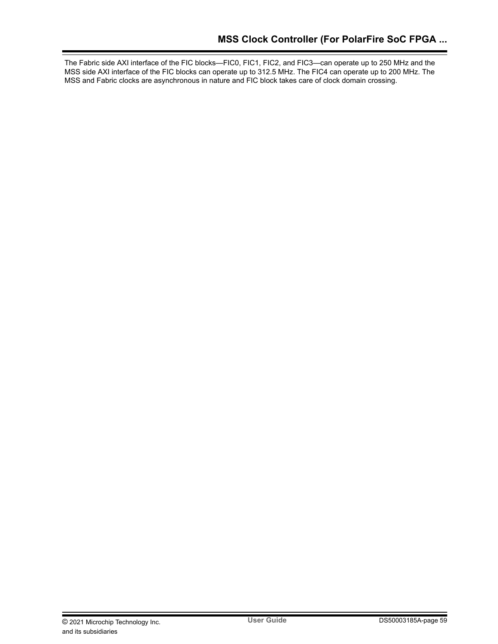The Fabric side AXI interface of the FIC blocks—FIC0, FIC1, FIC2, and FIC3—can operate up to 250 MHz and the MSS side AXI interface of the FIC blocks can operate up to 312.5 MHz. The FIC4 can operate up to 200 MHz. The MSS and Fabric clocks are asynchronous in nature and FIC block takes care of clock domain crossing.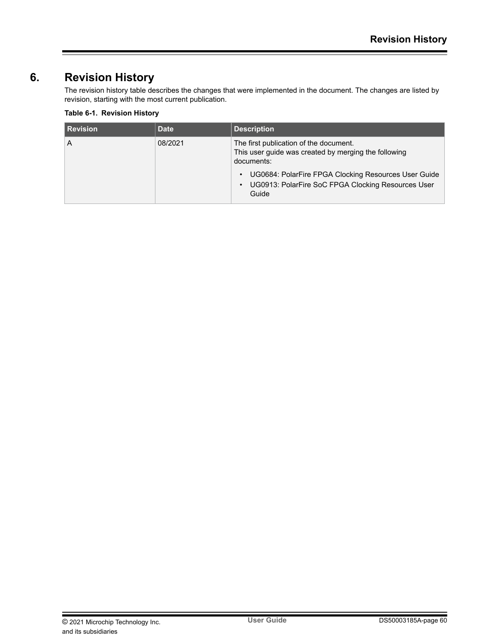# <span id="page-59-0"></span>**6. Revision History**

The revision history table describes the changes that were implemented in the document. The changes are listed by revision, starting with the most current publication.

# **Table 6-1. Revision History**

| <b>Revision</b> | <b>Date</b> | <b>Description</b>                                                                                                                                                                                                                                            |
|-----------------|-------------|---------------------------------------------------------------------------------------------------------------------------------------------------------------------------------------------------------------------------------------------------------------|
| A               | 08/2021     | The first publication of the document.<br>This user guide was created by merging the following<br>documents:<br>UG0684: PolarFire FPGA Clocking Resources User Guide<br>$\bullet$<br>UG0913: PolarFire SoC FPGA Clocking Resources User<br>$\bullet$<br>Guide |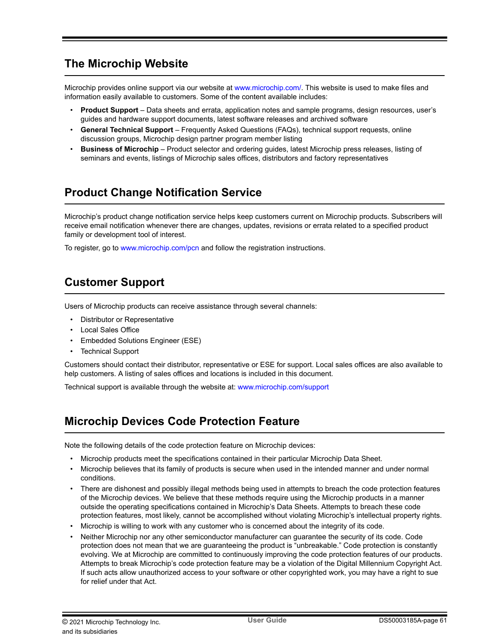# <span id="page-60-0"></span>**The Microchip Website**

Microchip provides online support via our website at [www.microchip.com/](http://www.microchip.com/). This website is used to make files and information easily available to customers. Some of the content available includes:

- **Product Support** Data sheets and errata, application notes and sample programs, design resources, user's guides and hardware support documents, latest software releases and archived software
- **General Technical Support** Frequently Asked Questions (FAQs), technical support requests, online discussion groups, Microchip design partner program member listing
- **Business of Microchip** Product selector and ordering guides, latest Microchip press releases, listing of seminars and events, listings of Microchip sales offices, distributors and factory representatives

# **Product Change Notification Service**

Microchip's product change notification service helps keep customers current on Microchip products. Subscribers will receive email notification whenever there are changes, updates, revisions or errata related to a specified product family or development tool of interest.

To register, go to [www.microchip.com/pcn](http://www.microchip.com/pcn) and follow the registration instructions.

# **Customer Support**

Users of Microchip products can receive assistance through several channels:

- Distributor or Representative
- Local Sales Office
- Embedded Solutions Engineer (ESE)
- Technical Support

Customers should contact their distributor, representative or ESE for support. Local sales offices are also available to help customers. A listing of sales offices and locations is included in this document.

Technical support is available through the website at: [www.microchip.com/support](http://www.microchip.com/support)

# **Microchip Devices Code Protection Feature**

Note the following details of the code protection feature on Microchip devices:

- Microchip products meet the specifications contained in their particular Microchip Data Sheet.
- Microchip believes that its family of products is secure when used in the intended manner and under normal conditions.
- There are dishonest and possibly illegal methods being used in attempts to breach the code protection features of the Microchip devices. We believe that these methods require using the Microchip products in a manner outside the operating specifications contained in Microchip's Data Sheets. Attempts to breach these code protection features, most likely, cannot be accomplished without violating Microchip's intellectual property rights.
- Microchip is willing to work with any customer who is concerned about the integrity of its code.
- Neither Microchip nor any other semiconductor manufacturer can guarantee the security of its code. Code protection does not mean that we are guaranteeing the product is "unbreakable." Code protection is constantly evolving. We at Microchip are committed to continuously improving the code protection features of our products. Attempts to break Microchip's code protection feature may be a violation of the Digital Millennium Copyright Act. If such acts allow unauthorized access to your software or other copyrighted work, you may have a right to sue for relief under that Act.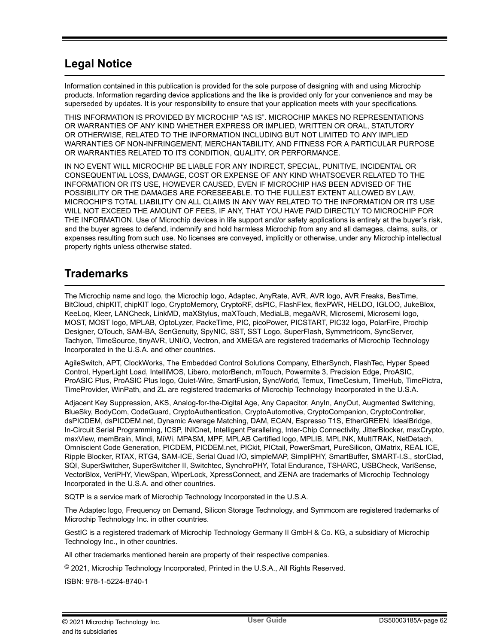# <span id="page-61-0"></span>**Legal Notice**

Information contained in this publication is provided for the sole purpose of designing with and using Microchip products. Information regarding device applications and the like is provided only for your convenience and may be superseded by updates. It is your responsibility to ensure that your application meets with your specifications.

THIS INFORMATION IS PROVIDED BY MICROCHIP "AS IS". MICROCHIP MAKES NO REPRESENTATIONS OR WARRANTIES OF ANY KIND WHETHER EXPRESS OR IMPLIED, WRITTEN OR ORAL, STATUTORY OR OTHERWISE, RELATED TO THE INFORMATION INCLUDING BUT NOT LIMITED TO ANY IMPLIED WARRANTIES OF NON-INFRINGEMENT, MERCHANTABILITY, AND FITNESS FOR A PARTICULAR PURPOSE OR WARRANTIES RELATED TO ITS CONDITION, QUALITY, OR PERFORMANCE.

IN NO EVENT WILL MICROCHIP BE LIABLE FOR ANY INDIRECT, SPECIAL, PUNITIVE, INCIDENTAL OR CONSEQUENTIAL LOSS, DAMAGE, COST OR EXPENSE OF ANY KIND WHATSOEVER RELATED TO THE INFORMATION OR ITS USE, HOWEVER CAUSED, EVEN IF MICROCHIP HAS BEEN ADVISED OF THE POSSIBILITY OR THE DAMAGES ARE FORESEEABLE. TO THE FULLEST EXTENT ALLOWED BY LAW, MICROCHIP'S TOTAL LIABILITY ON ALL CLAIMS IN ANY WAY RELATED TO THE INFORMATION OR ITS USE WILL NOT EXCEED THE AMOUNT OF FEES, IF ANY, THAT YOU HAVE PAID DIRECTLY TO MICROCHIP FOR THE INFORMATION. Use of Microchip devices in life support and/or safety applications is entirely at the buyer's risk, and the buyer agrees to defend, indemnify and hold harmless Microchip from any and all damages, claims, suits, or expenses resulting from such use. No licenses are conveyed, implicitly or otherwise, under any Microchip intellectual property rights unless otherwise stated.

# **Trademarks**

The Microchip name and logo, the Microchip logo, Adaptec, AnyRate, AVR, AVR logo, AVR Freaks, BesTime, BitCloud, chipKIT, chipKIT logo, CryptoMemory, CryptoRF, dsPIC, FlashFlex, flexPWR, HELDO, IGLOO, JukeBlox, KeeLoq, Kleer, LANCheck, LinkMD, maXStylus, maXTouch, MediaLB, megaAVR, Microsemi, Microsemi logo, MOST, MOST logo, MPLAB, OptoLyzer, PackeTime, PIC, picoPower, PICSTART, PIC32 logo, PolarFire, Prochip Designer, QTouch, SAM-BA, SenGenuity, SpyNIC, SST, SST Logo, SuperFlash, Symmetricom, SyncServer, Tachyon, TimeSource, tinyAVR, UNI/O, Vectron, and XMEGA are registered trademarks of Microchip Technology Incorporated in the U.S.A. and other countries.

AgileSwitch, APT, ClockWorks, The Embedded Control Solutions Company, EtherSynch, FlashTec, Hyper Speed Control, HyperLight Load, IntelliMOS, Libero, motorBench, mTouch, Powermite 3, Precision Edge, ProASIC, ProASIC Plus, ProASIC Plus logo, Quiet-Wire, SmartFusion, SyncWorld, Temux, TimeCesium, TimeHub, TimePictra, TimeProvider, WinPath, and ZL are registered trademarks of Microchip Technology Incorporated in the U.S.A.

Adjacent Key Suppression, AKS, Analog-for-the-Digital Age, Any Capacitor, AnyIn, AnyOut, Augmented Switching, BlueSky, BodyCom, CodeGuard, CryptoAuthentication, CryptoAutomotive, CryptoCompanion, CryptoController, dsPICDEM, dsPICDEM.net, Dynamic Average Matching, DAM, ECAN, Espresso T1S, EtherGREEN, IdealBridge, In-Circuit Serial Programming, ICSP, INICnet, Intelligent Paralleling, Inter-Chip Connectivity, JitterBlocker, maxCrypto, maxView, memBrain, Mindi, MiWi, MPASM, MPF, MPLAB Certified logo, MPLIB, MPLINK, MultiTRAK, NetDetach, Omniscient Code Generation, PICDEM, PICDEM.net, PICkit, PICtail, PowerSmart, PureSilicon, QMatrix, REAL ICE, Ripple Blocker, RTAX, RTG4, SAM-ICE, Serial Quad I/O, simpleMAP, SimpliPHY, SmartBuffer, SMART-I.S., storClad, SQI, SuperSwitcher, SuperSwitcher II, Switchtec, SynchroPHY, Total Endurance, TSHARC, USBCheck, VariSense, VectorBlox, VeriPHY, ViewSpan, WiperLock, XpressConnect, and ZENA are trademarks of Microchip Technology Incorporated in the U.S.A. and other countries.

SQTP is a service mark of Microchip Technology Incorporated in the U.S.A.

The Adaptec logo, Frequency on Demand, Silicon Storage Technology, and Symmcom are registered trademarks of Microchip Technology Inc. in other countries.

GestIC is a registered trademark of Microchip Technology Germany II GmbH & Co. KG, a subsidiary of Microchip Technology Inc., in other countries.

All other trademarks mentioned herein are property of their respective companies.

 $\textcircled{\tiny{\textcirc}}$  2021, Microchip Technology Incorporated, Printed in the U.S.A., All Rights Reserved.

ISBN: 978-1-5224-8740-1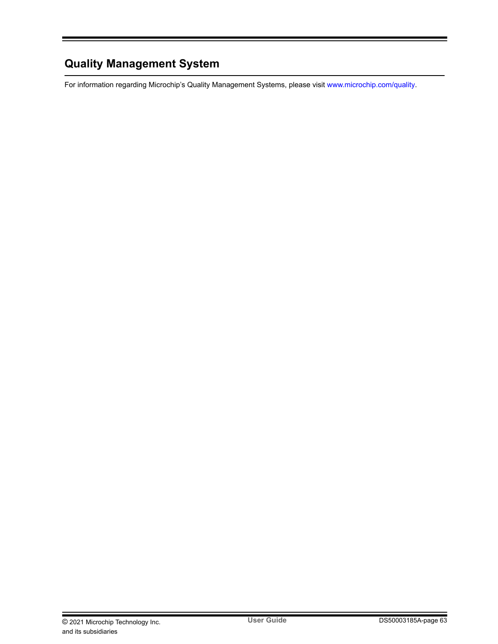# <span id="page-62-0"></span>**Quality Management System**

For information regarding Microchip's Quality Management Systems, please visit [www.microchip.com/quality](http://www.microchip.com/quality).